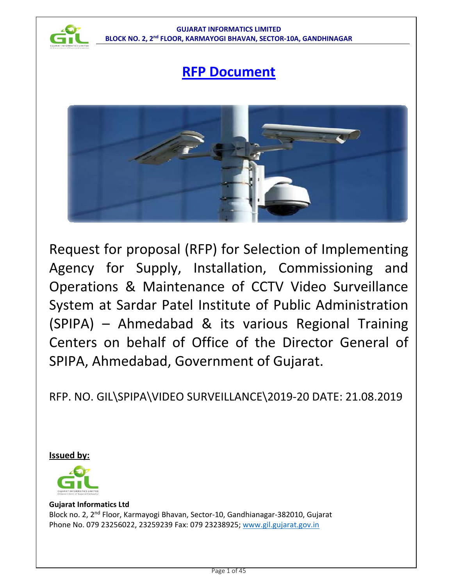

# **RFP Document**



Request for proposal (RFP) for Selection of Implementing Agency for Supply, Installation, Commissioning and Operations & Maintenance of CCTV Video Surveillance System at Sardar Patel Institute of Public Administration (SPIPA) – Ahmedabad & its various Regional Training Centers on behalf of Office of the Director General of SPIPA, Ahmedabad, Government of Gujarat.

RFP. NO. GIL\SPIPA\VIDEO SURVEILLANCE\2019-20 DATE: 21.08.2019

**Issued by:**



# **Gujarat Informatics Ltd**

Block no. 2, 2nd Floor, Karmayogi Bhavan, Sector-10, Gandhianagar-382010, Gujarat Phone No. 079 23256022, 23259239 Fax: 079 23238925; www.gil.gujarat.gov.in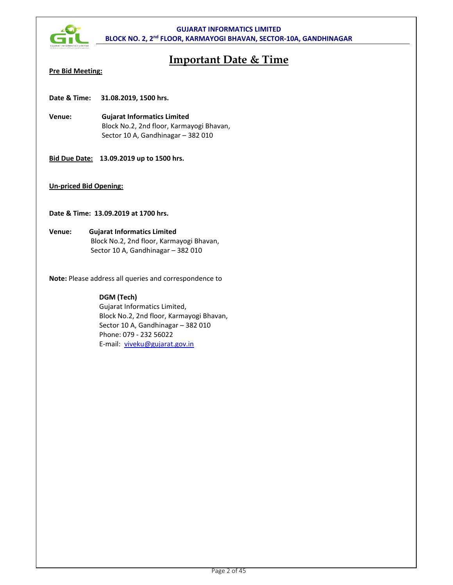

# **Important Date & Time**

# **Pre Bid Meeting:**

**Date & Time: 31.08.2019, 1500 hrs.** 

- **Venue: Gujarat Informatics Limited**  Block No.2, 2nd floor, Karmayogi Bhavan, Sector 10 A, Gandhinagar – 382 010
- **Bid Due Date: 13.09.2019 up to 1500 hrs.**

# **Un-priced Bid Opening:**

**Date & Time: 13.09.2019 at 1700 hrs.** 

**Venue: Gujarat Informatics Limited** Block No.2, 2nd floor, Karmayogi Bhavan, Sector 10 A, Gandhinagar – 382 010

**Note:** Please address all queries and correspondence to

# **DGM (Tech)**

Gujarat Informatics Limited, Block No.2, 2nd floor, Karmayogi Bhavan, Sector 10 A, Gandhinagar – 382 010 Phone: 079 - 232 56022 E-mail: viveku@gujarat.gov.in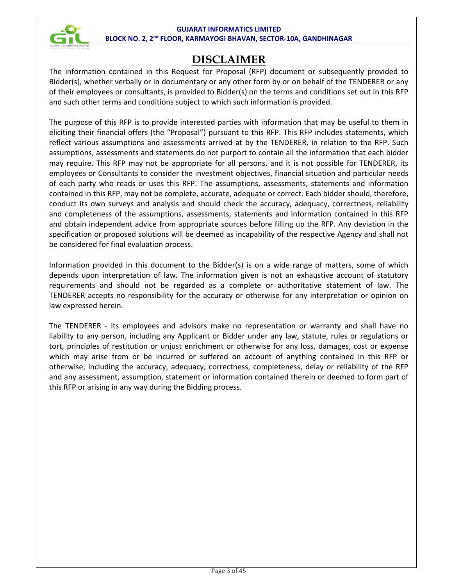

# **DISCLAIMER**

The information contained in this Request for Proposal (RFP) document or subsequently provided to Bidder(s), whether verbally or in documentary or any other form by or on behalf of the TENDERER or any of their employees or consultants, is provided to Bidder(s) on the terms and conditions set out in this RFP and such other terms and conditions subject to which such information is provided.

The purpose of this RFP is to provide interested parties with information that may be useful to them in eliciting their financial offers (the "Proposal") pursuant to this RFP. This RFP includes statements, which reflect various assumptions and assessments arrived at by the TENDERER, in relation to the RFP. Such assumptions, assessments and statements do not purport to contain all the information that each bidder may require. This RFP may not be appropriate for all persons, and it is not possible for TENDERER, its employees or Consultants to consider the investment objectives, financial situation and particular needs of each party who reads or uses this RFP. The assumptions, assessments, statements and information contained in this RFP, may not be complete, accurate, adequate or correct. Each bidder should, therefore, conduct its own surveys and analysis and should check the accuracy, adequacy, correctness, reliability and completeness of the assumptions, assessments, statements and information contained in this RFP and obtain independent advice from appropriate sources before filling up the RFP. Any deviation in the specification or proposed solutions will be deemed as incapability of the respective Agency and shall not be considered for final evaluation process.

Information provided in this document to the Bidder(s) is on a wide range of matters, some of which depends upon interpretation of law. The information given is not an exhaustive account of statutory requirements and should not be regarded as a complete or authoritative statement of law. The TENDERER accepts no responsibility for the accuracy or otherwise for any interpretation or opinion on law expressed herein.

The TENDERER - its employees and advisors make no representation or warranty and shall have no liability to any person, including any Applicant or Bidder under any law, statute, rules or regulations or tort, principles of restitution or unjust enrichment or otherwise for any loss, damages, cost or expense which may arise from or be incurred or suffered on account of anything contained in this RFP or otherwise, including the accuracy, adequacy, correctness, completeness, delay or reliability of the RFP and any assessment, assumption, statement or information contained therein or deemed to form part of this RFP or arising in any way during the Bidding process.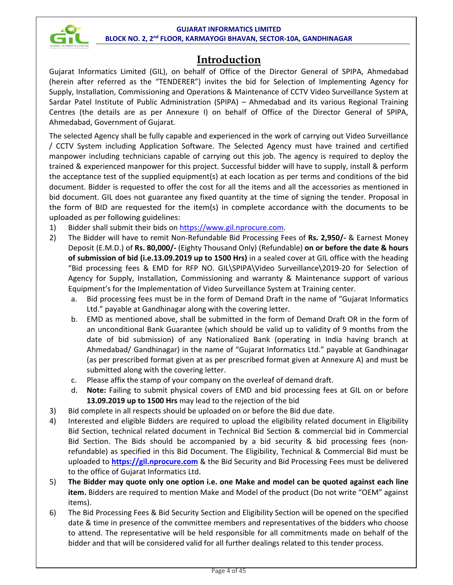

# **Introduction**

Gujarat Informatics Limited (GIL), on behalf of Office of the Director General of SPIPA, Ahmedabad (herein after referred as the "TENDERER") invites the bid for Selection of Implementing Agency for Supply, Installation, Commissioning and Operations & Maintenance of CCTV Video Surveillance System at Sardar Patel Institute of Public Administration (SPIPA) – Ahmedabad and its various Regional Training Centres (the details are as per Annexure I) on behalf of Office of the Director General of SPIPA, Ahmedabad, Government of Gujarat.

The selected Agency shall be fully capable and experienced in the work of carrying out Video Surveillance / CCTV System including Application Software. The Selected Agency must have trained and certified manpower including technicians capable of carrying out this job. The agency is required to deploy the trained & experienced manpower for this project. Successful bidder will have to supply, install & perform the acceptance test of the supplied equipment(s) at each location as per terms and conditions of the bid document. Bidder is requested to offer the cost for all the items and all the accessories as mentioned in bid document. GIL does not guarantee any fixed quantity at the time of signing the tender. Proposal in the form of BID are requested for the item(s) in complete accordance with the documents to be uploaded as per following guidelines:

- 1) Bidder shall submit their bids on https://www.gil.nprocure.com.
- 2) The Bidder will have to remit Non-Refundable Bid Processing Fees of **Rs. 2,950/-** & Earnest Money Deposit (E.M.D.) of **Rs. 80,000/-** (Eighty Thousand Only) (Refundable) **on or before the date & hours of submission of bid (i.e.13.09.2019 up to 1500 Hrs)** in a sealed cover at GIL office with the heading "Bid processing fees & EMD for RFP NO. GIL\SPIPA\Video Surveillance\2019-20 for Selection of Agency for Supply, Installation, Commissioning and warranty & Maintenance support of various Equipment's for the Implementation of Video Surveillance System at Training center.
	- a. Bid processing fees must be in the form of Demand Draft in the name of "Gujarat Informatics Ltd." payable at Gandhinagar along with the covering letter.
	- b. EMD as mentioned above, shall be submitted in the form of Demand Draft OR in the form of an unconditional Bank Guarantee (which should be valid up to validity of 9 months from the date of bid submission) of any Nationalized Bank (operating in India having branch at Ahmedabad/ Gandhinagar) in the name of "Gujarat Informatics Ltd." payable at Gandhinagar (as per prescribed format given at as per prescribed format given at Annexure A) and must be submitted along with the covering letter.
	- c. Please affix the stamp of your company on the overleaf of demand draft.
	- d. **Note:** Failing to submit physical covers of EMD and bid processing fees at GIL on or before **13.09.2019 up to 1500 Hrs** may lead to the rejection of the bid
- 3) Bid complete in all respects should be uploaded on or before the Bid due date.
- 4) Interested and eligible Bidders are required to upload the eligibility related document in Eligibility Bid Section, technical related document in Technical Bid Section & commercial bid in Commercial Bid Section. The Bids should be accompanied by a bid security & bid processing fees (nonrefundable) as specified in this Bid Document. The Eligibility, Technical & Commercial Bid must be uploaded to **https://gil.nprocure.com** & the Bid Security and Bid Processing Fees must be delivered to the office of Gujarat Informatics Ltd.
- 5) **The Bidder may quote only one option i.e. one Make and model can be quoted against each line item.** Bidders are required to mention Make and Model of the product (Do not write "OEM" against items).
- 6) The Bid Processing Fees & Bid Security Section and Eligibility Section will be opened on the specified date & time in presence of the committee members and representatives of the bidders who choose to attend. The representative will be held responsible for all commitments made on behalf of the bidder and that will be considered valid for all further dealings related to this tender process.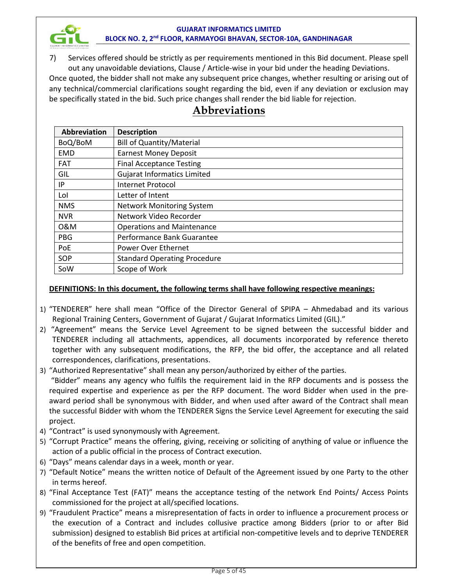

7) Services offered should be strictly as per requirements mentioned in this Bid document. Please spell out any unavoidable deviations, Clause / Article-wise in your bid under the heading Deviations.

Once quoted, the bidder shall not make any subsequent price changes, whether resulting or arising out of any technical/commercial clarifications sought regarding the bid, even if any deviation or exclusion may be specifically stated in the bid. Such price changes shall render the bid liable for rejection.

| <b>Abbreviation</b> | <b>Description</b>                  |  |
|---------------------|-------------------------------------|--|
| BoQ/BoM             | <b>Bill of Quantity/Material</b>    |  |
| <b>EMD</b>          | <b>Earnest Money Deposit</b>        |  |
| <b>FAT</b>          | <b>Final Acceptance Testing</b>     |  |
| GIL                 | <b>Gujarat Informatics Limited</b>  |  |
| ΙP                  | <b>Internet Protocol</b>            |  |
| Lol                 | Letter of Intent                    |  |
| <b>NMS</b>          | <b>Network Monitoring System</b>    |  |
| <b>NVR</b>          | Network Video Recorder              |  |
| 0&M                 | <b>Operations and Maintenance</b>   |  |
| <b>PBG</b>          | Performance Bank Guarantee          |  |
| PoE                 | Power Over Ethernet                 |  |
| SOP                 | <b>Standard Operating Procedure</b> |  |
| SoW                 | Scope of Work                       |  |

# **Abbreviations**

# **DEFINITIONS: In this document, the following terms shall have following respective meanings:**

- 1) "TENDERER" here shall mean "Office of the Director General of SPIPA Ahmedabad and its various Regional Training Centers, Government of Gujarat / Gujarat Informatics Limited (GIL)."
- 2) "Agreement" means the Service Level Agreement to be signed between the successful bidder and TENDERER including all attachments, appendices, all documents incorporated by reference thereto together with any subsequent modifications, the RFP, the bid offer, the acceptance and all related correspondences, clarifications, presentations.
- 3) "Authorized Representative" shall mean any person/authorized by either of the parties.

 "Bidder" means any agency who fulfils the requirement laid in the RFP documents and is possess the required expertise and experience as per the RFP document. The word Bidder when used in the preaward period shall be synonymous with Bidder, and when used after award of the Contract shall mean the successful Bidder with whom the TENDERER Signs the Service Level Agreement for executing the said project.

- 4) "Contract" is used synonymously with Agreement.
- 5) "Corrupt Practice" means the offering, giving, receiving or soliciting of anything of value or influence the action of a public official in the process of Contract execution.
- 6) "Days" means calendar days in a week, month or year.
- 7) "Default Notice" means the written notice of Default of the Agreement issued by one Party to the other in terms hereof.
- 8) "Final Acceptance Test (FAT)" means the acceptance testing of the network End Points/ Access Points commissioned for the project at all/specified locations.
- 9) "Fraudulent Practice" means a misrepresentation of facts in order to influence a procurement process or the execution of a Contract and includes collusive practice among Bidders (prior to or after Bid submission) designed to establish Bid prices at artificial non-competitive levels and to deprive TENDERER of the benefits of free and open competition.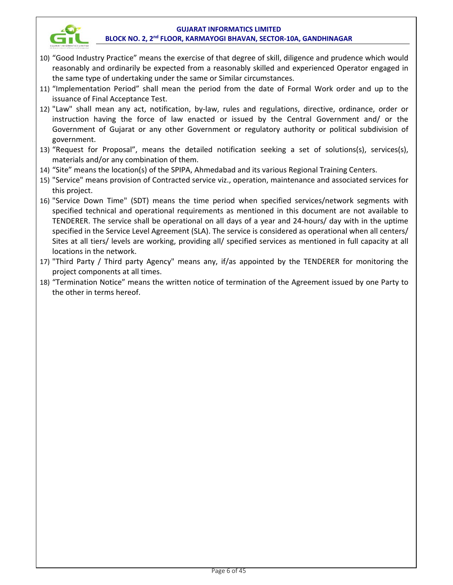

- 10) "Good Industry Practice" means the exercise of that degree of skill, diligence and prudence which would reasonably and ordinarily be expected from a reasonably skilled and experienced Operator engaged in the same type of undertaking under the same or Similar circumstances.
- 11) "Implementation Period" shall mean the period from the date of Formal Work order and up to the issuance of Final Acceptance Test.
- 12) "Law" shall mean any act, notification, by-law, rules and regulations, directive, ordinance, order or instruction having the force of law enacted or issued by the Central Government and/ or the Government of Gujarat or any other Government or regulatory authority or political subdivision of government.
- 13) "Request for Proposal", means the detailed notification seeking a set of solutions(s), services(s), materials and/or any combination of them.
- 14) "Site" means the location(s) of the SPIPA, Ahmedabad and its various Regional Training Centers.
- 15) "Service" means provision of Contracted service viz., operation, maintenance and associated services for this project.
- 16) "Service Down Time" (SDT) means the time period when specified services/network segments with specified technical and operational requirements as mentioned in this document are not available to TENDERER. The service shall be operational on all days of a year and 24-hours/ day with in the uptime specified in the Service Level Agreement (SLA). The service is considered as operational when all centers/ Sites at all tiers/ levels are working, providing all/ specified services as mentioned in full capacity at all locations in the network.
- 17) "Third Party / Third party Agency" means any, if/as appointed by the TENDERER for monitoring the project components at all times.
- 18) "Termination Notice" means the written notice of termination of the Agreement issued by one Party to the other in terms hereof.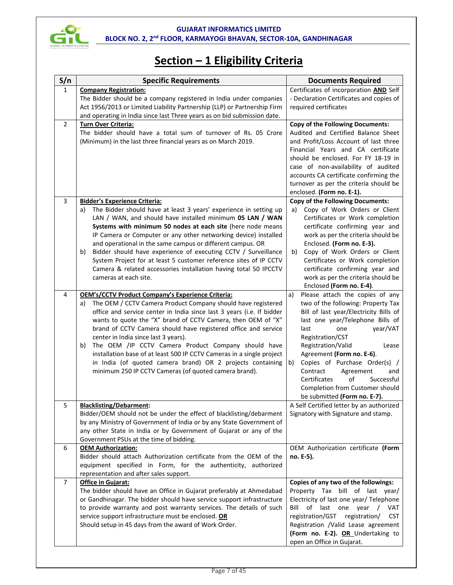

# **Section – 1 Eligibility Criteria**

| S/n            | <b>Specific Requirements</b>                                                                                                                         | <b>Documents Required</b>                                                     |
|----------------|------------------------------------------------------------------------------------------------------------------------------------------------------|-------------------------------------------------------------------------------|
| $\mathbf{1}$   | <b>Company Registration:</b>                                                                                                                         | Certificates of incorporation AND Self                                        |
|                | The Bidder should be a company registered in India under companies                                                                                   | - Declaration Certificates and copies of                                      |
|                | Act 1956/2013 or Limited Liability Partnership (LLP) or Partnership Firm<br>and operating in India since last Three years as on bid submission date. | required certificates                                                         |
| $\overline{2}$ | Turn Over Criteria:                                                                                                                                  | <b>Copy of the Following Documents:</b>                                       |
|                | The bidder should have a total sum of turnover of Rs. 05 Crore                                                                                       | Audited and Certified Balance Sheet                                           |
|                | (Minimum) in the last three financial years as on March 2019.                                                                                        | and Profit/Loss Account of last three                                         |
|                |                                                                                                                                                      | Financial Years and CA certificate                                            |
|                |                                                                                                                                                      | should be enclosed. For FY 18-19 in                                           |
|                |                                                                                                                                                      | case of non-availability of audited<br>accounts CA certificate confirming the |
|                |                                                                                                                                                      | turnover as per the criteria should be                                        |
|                |                                                                                                                                                      | enclosed. (Form no. E-1).                                                     |
| 3              | <b>Bidder's Experience Criteria:</b>                                                                                                                 | <b>Copy of the Following Documents:</b>                                       |
|                | The Bidder should have at least 3 years' experience in setting up<br>a)                                                                              | Copy of Work Orders or Client<br>a)                                           |
|                | LAN / WAN, and should have installed minimum 05 LAN / WAN                                                                                            | Certificates or Work completion                                               |
|                | Systems with minimum 50 nodes at each site (here node means                                                                                          | certificate confirming year and                                               |
|                | IP Camera or Computer or any other networking device) installed<br>and operational in the same campus or different campus. OR                        | work as per the criteria should be<br>Enclosed. (Form no. E-3).               |
|                | Bidder should have experience of executing CCTV / Surveillance<br>b)                                                                                 | Copy of Work Orders or Client<br>b)                                           |
|                | System Project for at least 5 customer reference sites of IP CCTV                                                                                    | Certificates or Work completion                                               |
|                | Camera & related accessories installation having total 50 IPCCTV                                                                                     | certificate confirming year and                                               |
|                | cameras at each site.                                                                                                                                | work as per the criteria should be                                            |
|                |                                                                                                                                                      | Enclosed (Form no. E-4).                                                      |
| 4              | <b>OEM's/CCTV Product Company's Experience Criteria:</b>                                                                                             | Please attach the copies of any<br>a)                                         |
|                | The OEM / CCTV Camera Product Company should have registered<br>a)<br>office and service center in India since last 3 years (i.e. If bidder          | two of the following: Property Tax<br>Bill of last year/Electricity Bills of  |
|                | wants to quote the "X" brand of CCTV Camera, then OEM of "X"                                                                                         | last one year/Telephone Bills of                                              |
|                | brand of CCTV Camera should have registered office and service                                                                                       | last<br>year/VAT<br>one                                                       |
|                | center in India since last 3 years).                                                                                                                 | Registration/CST                                                              |
|                | The OEM /IP CCTV Camera Product Company should have<br>b)                                                                                            | Registration/Valid<br>Lease                                                   |
|                | installation base of at least 500 IP CCTV Cameras in a single project<br>in India (of quoted camera brand) OR 2 projects containing                  | Agreement (Form no. E-6).                                                     |
|                | minimum 250 IP CCTV Cameras (of quoted camera brand).                                                                                                | Copies of Purchase Order(s) /<br>b)<br>Contract<br>Agreement<br>and           |
|                |                                                                                                                                                      | Certificates<br>of<br>Successful                                              |
|                |                                                                                                                                                      | Completion from Customer should                                               |
|                |                                                                                                                                                      | be submitted (Form no. E-7).                                                  |
| 5              | <b>Blacklisting/Debarment:</b>                                                                                                                       | A Self Certified letter by an authorized                                      |
|                | Bidder/OEM should not be under the effect of blacklisting/debarment<br>by any Ministry of Government of India or by any State Government of          | Signatory with Signature and stamp.                                           |
|                | any other State in India or by Government of Gujarat or any of the                                                                                   |                                                                               |
|                | Government PSUs at the time of bidding.                                                                                                              |                                                                               |
| 6              | <b>OEM Authorization:</b>                                                                                                                            | OEM Authorization certificate (Form                                           |
|                | Bidder should attach Authorization certificate from the OEM of the                                                                                   | no. E-5).                                                                     |
|                | equipment specified in Form, for the authenticity, authorized                                                                                        |                                                                               |
| $\overline{7}$ | representation and after sales support.<br>Office in Gujarat:                                                                                        | Copies of any two of the followings:                                          |
|                | The bidder should have an Office in Gujarat preferably at Ahmedabad                                                                                  | Property Tax bill of last year/                                               |
|                | or Gandhinagar. The bidder should have service support infrastructure                                                                                | Electricity of last one year/ Telephone                                       |
|                | to provide warranty and post warranty services. The details of such                                                                                  | Bill of last one year / VAT                                                   |
|                | service support infrastructure must be enclosed. OR                                                                                                  | registration/GST registration/<br><b>CST</b>                                  |
|                | Should setup in 45 days from the award of Work Order.                                                                                                | Registration /Valid Lease agreement                                           |
|                |                                                                                                                                                      | (Form no. E-2). OR Undertaking to                                             |
|                |                                                                                                                                                      | open an Office in Gujarat.                                                    |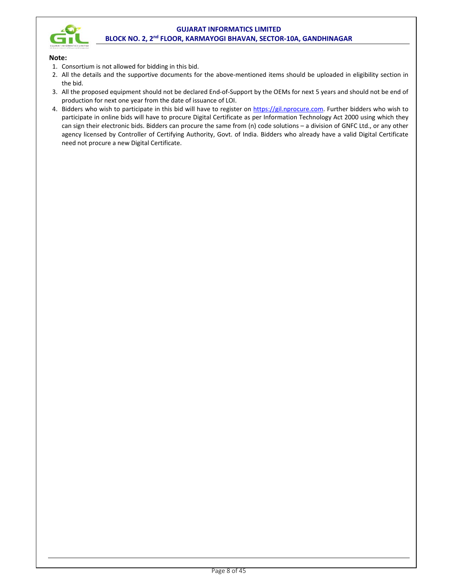

#### **Note:**

- 1. Consortium is not allowed for bidding in this bid.
- 2. All the details and the supportive documents for the above-mentioned items should be uploaded in eligibility section in the bid.
- 3. All the proposed equipment should not be declared End-of-Support by the OEMs for next 5 years and should not be end of production for next one year from the date of issuance of LOI.
- 4. Bidders who wish to participate in this bid will have to register on https://gil.nprocure.com. Further bidders who wish to participate in online bids will have to procure Digital Certificate as per Information Technology Act 2000 using which they can sign their electronic bids. Bidders can procure the same from (n) code solutions – a division of GNFC Ltd., or any other agency licensed by Controller of Certifying Authority, Govt. of India. Bidders who already have a valid Digital Certificate need not procure a new Digital Certificate.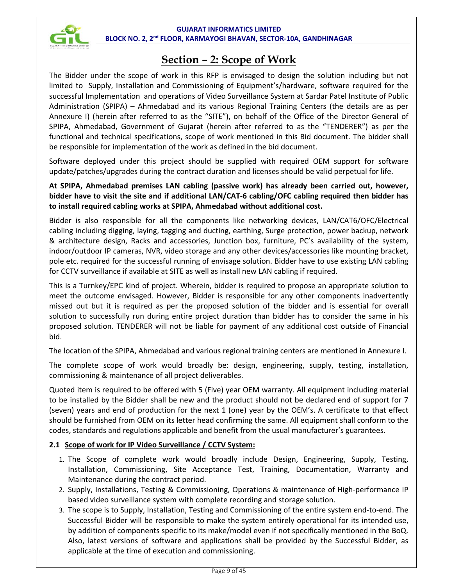

# **Section – 2: Scope of Work**

The Bidder under the scope of work in this RFP is envisaged to design the solution including but not limited to Supply, Installation and Commissioning of Equipment's/hardware, software required for the successful Implementation and operations of Video Surveillance System at Sardar Patel Institute of Public Administration (SPIPA) – Ahmedabad and its various Regional Training Centers (the details are as per Annexure I) (herein after referred to as the "SITE"), on behalf of the Office of the Director General of SPIPA, Ahmedabad, Government of Gujarat (herein after referred to as the "TENDERER") as per the functional and technical specifications, scope of work mentioned in this Bid document. The bidder shall be responsible for implementation of the work as defined in the bid document.

Software deployed under this project should be supplied with required OEM support for software update/patches/upgrades during the contract duration and licenses should be valid perpetual for life.

# **At SPIPA, Ahmedabad premises LAN cabling (passive work) has already been carried out, however, bidder have to visit the site and if additional LAN/CAT-6 cabling/OFC cabling required then bidder has to install required cabling works at SPIPA, Ahmedabad without additional cost.**

Bidder is also responsible for all the components like networking devices, LAN/CAT6/OFC/Electrical cabling including digging, laying, tagging and ducting, earthing, Surge protection, power backup, network & architecture design, Racks and accessories, Junction box, furniture, PC's availability of the system, indoor/outdoor IP cameras, NVR, video storage and any other devices/accessories like mounting bracket, pole etc. required for the successful running of envisage solution. Bidder have to use existing LAN cabling for CCTV surveillance if available at SITE as well as install new LAN cabling if required.

This is a Turnkey/EPC kind of project. Wherein, bidder is required to propose an appropriate solution to meet the outcome envisaged. However, Bidder is responsible for any other components inadvertently missed out but it is required as per the proposed solution of the bidder and is essential for overall solution to successfully run during entire project duration than bidder has to consider the same in his proposed solution. TENDERER will not be liable for payment of any additional cost outside of Financial bid.

The location of the SPIPA, Ahmedabad and various regional training centers are mentioned in Annexure I.

The complete scope of work would broadly be: design, engineering, supply, testing, installation, commissioning & maintenance of all project deliverables.

Quoted item is required to be offered with 5 (Five) year OEM warranty. All equipment including material to be installed by the Bidder shall be new and the product should not be declared end of support for 7 (seven) years and end of production for the next 1 (one) year by the OEM's. A certificate to that effect should be furnished from OEM on its letter head confirming the same. All equipment shall conform to the codes, standards and regulations applicable and benefit from the usual manufacturer's guarantees.

# **2.1 Scope of work for IP Video Surveillance / CCTV System:**

- 1. The Scope of complete work would broadly include Design, Engineering, Supply, Testing, Installation, Commissioning, Site Acceptance Test, Training, Documentation, Warranty and Maintenance during the contract period.
- 2. Supply, Installations, Testing & Commissioning, Operations & maintenance of High-performance IP based video surveillance system with complete recording and storage solution.
- 3. The scope is to Supply, Installation, Testing and Commissioning of the entire system end-to-end. The Successful Bidder will be responsible to make the system entirely operational for its intended use, by addition of components specific to its make/model even if not specifically mentioned in the BoQ. Also, latest versions of software and applications shall be provided by the Successful Bidder, as applicable at the time of execution and commissioning.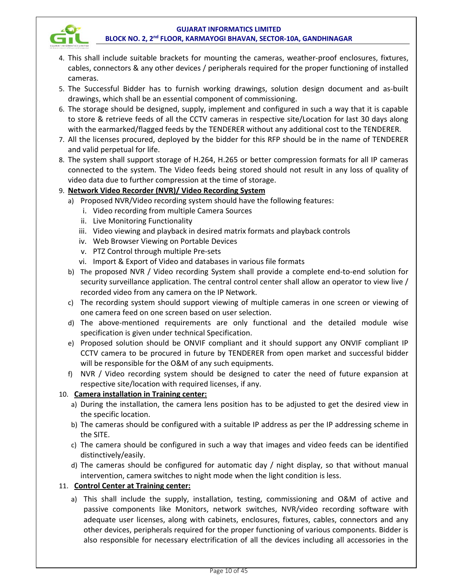

- 4. This shall include suitable brackets for mounting the cameras, weather-proof enclosures, fixtures, cables, connectors & any other devices / peripherals required for the proper functioning of installed cameras.
- 5. The Successful Bidder has to furnish working drawings, solution design document and as-built drawings, which shall be an essential component of commissioning.
- 6. The storage should be designed, supply, implement and configured in such a way that it is capable to store & retrieve feeds of all the CCTV cameras in respective site/Location for last 30 days along with the earmarked/flagged feeds by the TENDERER without any additional cost to the TENDERER.
- 7. All the licenses procured, deployed by the bidder for this RFP should be in the name of TENDERER and valid perpetual for life.
- 8. The system shall support storage of H.264, H.265 or better compression formats for all IP cameras connected to the system. The Video feeds being stored should not result in any loss of quality of video data due to further compression at the time of storage.

# 9. **Network Video Recorder (NVR)/ Video Recording System**

- a) Proposed NVR/Video recording system should have the following features:
	- i. Video recording from multiple Camera Sources
	- ii. Live Monitoring Functionality
	- iii. Video viewing and playback in desired matrix formats and playback controls
	- iv. Web Browser Viewing on Portable Devices
	- v. PTZ Control through multiple Pre-sets
	- vi. Import & Export of Video and databases in various file formats
- b) The proposed NVR / Video recording System shall provide a complete end-to-end solution for security surveillance application. The central control center shall allow an operator to view live / recorded video from any camera on the IP Network.
- c) The recording system should support viewing of multiple cameras in one screen or viewing of one camera feed on one screen based on user selection.
- d) The above-mentioned requirements are only functional and the detailed module wise specification is given under technical Specification.
- e) Proposed solution should be ONVIF compliant and it should support any ONVIF compliant IP CCTV camera to be procured in future by TENDERER from open market and successful bidder will be responsible for the O&M of any such equipments.
- f) NVR / Video recording system should be designed to cater the need of future expansion at respective site/location with required licenses, if any.

# 10. **Camera installation in Training center:**

- a) During the installation, the camera lens position has to be adjusted to get the desired view in the specific location.
- b) The cameras should be configured with a suitable IP address as per the IP addressing scheme in the SITE.
- c) The camera should be configured in such a way that images and video feeds can be identified distinctively/easily.
- d) The cameras should be configured for automatic day / night display, so that without manual intervention, camera switches to night mode when the light condition is less.

# 11. **Control Center at Training center:**

a) This shall include the supply, installation, testing, commissioning and O&M of active and passive components like Monitors, network switches, NVR/video recording software with adequate user licenses, along with cabinets, enclosures, fixtures, cables, connectors and any other devices, peripherals required for the proper functioning of various components. Bidder is also responsible for necessary electrification of all the devices including all accessories in the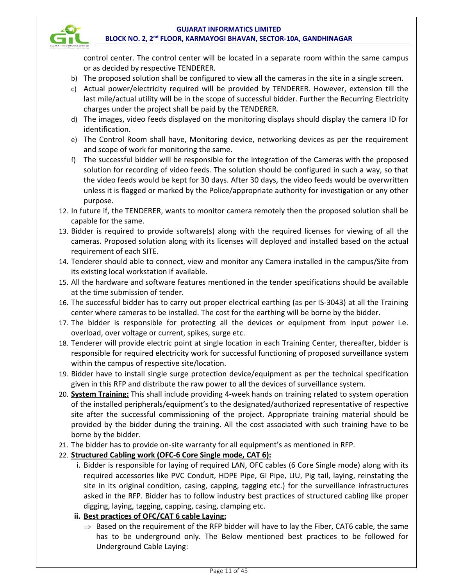control center. The control center will be located in a separate room within the same campus or as decided by respective TENDERER.

- b) The proposed solution shall be configured to view all the cameras in the site in a single screen.
- c) Actual power/electricity required will be provided by TENDERER. However, extension till the last mile/actual utility will be in the scope of successful bidder. Further the Recurring Electricity charges under the project shall be paid by the TENDERER.
- d) The images, video feeds displayed on the monitoring displays should display the camera ID for identification.
- e) The Control Room shall have, Monitoring device, networking devices as per the requirement and scope of work for monitoring the same.
- f) The successful bidder will be responsible for the integration of the Cameras with the proposed solution for recording of video feeds. The solution should be configured in such a way, so that the video feeds would be kept for 30 days. After 30 days, the video feeds would be overwritten unless it is flagged or marked by the Police/appropriate authority for investigation or any other purpose.
- 12. In future if, the TENDERER, wants to monitor camera remotely then the proposed solution shall be capable for the same.
- 13. Bidder is required to provide software(s) along with the required licenses for viewing of all the cameras. Proposed solution along with its licenses will deployed and installed based on the actual requirement of each SITE.
- 14. Tenderer should able to connect, view and monitor any Camera installed in the campus/Site from its existing local workstation if available.
- 15. All the hardware and software features mentioned in the tender specifications should be available at the time submission of tender.
- 16. The successful bidder has to carry out proper electrical earthing (as per IS-3043) at all the Training center where cameras to be installed. The cost for the earthing will be borne by the bidder.
- 17. The bidder is responsible for protecting all the devices or equipment from input power i.e. overload, over voltage or current, spikes, surge etc.
- 18. Tenderer will provide electric point at single location in each Training Center, thereafter, bidder is responsible for required electricity work for successful functioning of proposed surveillance system within the campus of respective site/location.
- 19. Bidder have to install single surge protection device/equipment as per the technical specification given in this RFP and distribute the raw power to all the devices of surveillance system.
- 20. **System Training:** This shall include providing 4-week hands on training related to system operation of the installed peripherals/equipment's to the designated/authorized representative of respective site after the successful commissioning of the project. Appropriate training material should be provided by the bidder during the training. All the cost associated with such training have to be borne by the bidder.
- 21. The bidder has to provide on-site warranty for all equipment's as mentioned in RFP.

# 22. **Structured Cabling work (OFC-6 Core Single mode, CAT 6):**

- i. Bidder is responsible for laying of required LAN, OFC cables (6 Core Single mode) along with its required accessories like PVC Conduit, HDPE Pipe, GI Pipe, LIU, Pig tail, laying, reinstating the site in its original condition, casing, capping, tagging etc.) for the surveillance infrastructures asked in the RFP. Bidder has to follow industry best practices of structured cabling like proper digging, laying, tagging, capping, casing, clamping etc.
- **ii. Best practices of OFC/CAT 6 cable Laying:** 
	- $\Rightarrow$  Based on the requirement of the RFP bidder will have to lay the Fiber, CAT6 cable, the same has to be underground only. The Below mentioned best practices to be followed for Underground Cable Laying: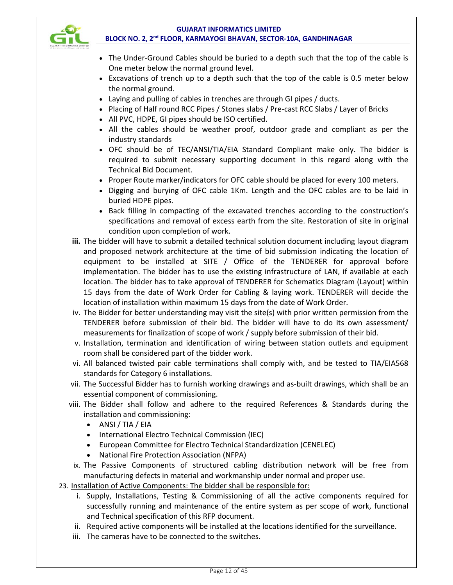

- The Under-Ground Cables should be buried to a depth such that the top of the cable is One meter below the normal ground level.
- Excavations of trench up to a depth such that the top of the cable is 0.5 meter below the normal ground.
- Laying and pulling of cables in trenches are through GI pipes / ducts.
- Placing of Half round RCC Pipes / Stones slabs / Pre-cast RCC Slabs / Layer of Bricks
- All PVC, HDPE, GI pipes should be ISO certified.
- All the cables should be weather proof, outdoor grade and compliant as per the industry standards
- OFC should be of TEC/ANSI/TIA/EIA Standard Compliant make only. The bidder is required to submit necessary supporting document in this regard along with the Technical Bid Document.
- Proper Route marker/indicators for OFC cable should be placed for every 100 meters.
- Digging and burying of OFC cable 1Km. Length and the OFC cables are to be laid in buried HDPE pipes.
- Back filling in compacting of the excavated trenches according to the construction's specifications and removal of excess earth from the site. Restoration of site in original condition upon completion of work.
- **iii.** The bidder will have to submit a detailed technical solution document including layout diagram and proposed network architecture at the time of bid submission indicating the location of equipment to be installed at SITE / Office of the TENDERER for approval before implementation. The bidder has to use the existing infrastructure of LAN, if available at each location. The bidder has to take approval of TENDERER for Schematics Diagram (Layout) within 15 days from the date of Work Order for Cabling & laying work. TENDERER will decide the location of installation within maximum 15 days from the date of Work Order.
- iv. The Bidder for better understanding may visit the site(s) with prior written permission from the TENDERER before submission of their bid. The bidder will have to do its own assessment/ measurements for finalization of scope of work / supply before submission of their bid.
- v. Installation, termination and identification of wiring between station outlets and equipment room shall be considered part of the bidder work.
- vi. All balanced twisted pair cable terminations shall comply with, and be tested to TIA/EIA568 standards for Category 6 installations.
- vii. The Successful Bidder has to furnish working drawings and as-built drawings, which shall be an essential component of commissioning.
- viii. The Bidder shall follow and adhere to the required References & Standards during the installation and commissioning:
	- $\bullet$  ANSI / TIA / EIA
	- International Electro Technical Commission (IEC)
	- European Committee for Electro Technical Standardization (CENELEC)
	- National Fire Protection Association (NFPA)
	- ix. The Passive Components of structured cabling distribution network will be free from manufacturing defects in material and workmanship under normal and proper use.
- 23. Installation of Active Components: The bidder shall be responsible for:
	- i. Supply, Installations, Testing & Commissioning of all the active components required for successfully running and maintenance of the entire system as per scope of work, functional and Technical specification of this RFP document.
	- ii. Required active components will be installed at the locations identified for the surveillance.
	- iii. The cameras have to be connected to the switches.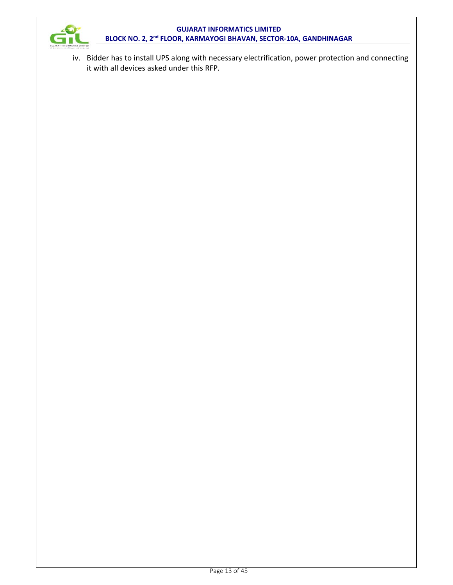

iv. Bidder has to install UPS along with necessary electrification, power protection and connecting it with all devices asked under this RFP.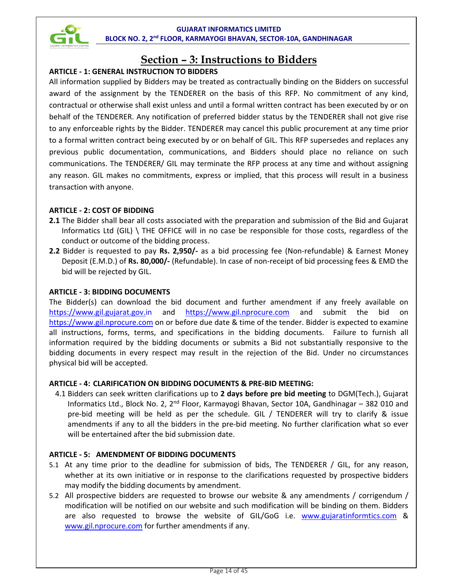

# **Section – 3: Instructions to Bidders**

# **ARTICLE - 1: GENERAL INSTRUCTION TO BIDDERS**

All information supplied by Bidders may be treated as contractually binding on the Bidders on successful award of the assignment by the TENDERER on the basis of this RFP. No commitment of any kind, contractual or otherwise shall exist unless and until a formal written contract has been executed by or on behalf of the TENDERER. Any notification of preferred bidder status by the TENDERER shall not give rise to any enforceable rights by the Bidder. TENDERER may cancel this public procurement at any time prior to a formal written contract being executed by or on behalf of GIL. This RFP supersedes and replaces any previous public documentation, communications, and Bidders should place no reliance on such communications. The TENDERER/ GIL may terminate the RFP process at any time and without assigning any reason. GIL makes no commitments, express or implied, that this process will result in a business transaction with anyone.

# **ARTICLE - 2: COST OF BIDDING**

- **2.1** The Bidder shall bear all costs associated with the preparation and submission of the Bid and Gujarat Informatics Ltd (GIL) \ THE OFFICE will in no case be responsible for those costs, regardless of the conduct or outcome of the bidding process.
- **2.2** Bidder is requested to pay **Rs. 2,950/-** as a bid processing fee (Non-refundable) & Earnest Money Deposit (E.M.D.) of **Rs. 80,000/-** (Refundable). In case of non-receipt of bid processing fees & EMD the bid will be rejected by GIL.

# **ARTICLE - 3: BIDDING DOCUMENTS**

The Bidder(s) can download the bid document and further amendment if any freely available on https://www.gil.gujarat.gov.in and https://www.gil.nprocure.com and submit the bid on https://www.gil.nprocure.com on or before due date & time of the tender. Bidder is expected to examine all instructions, forms, terms, and specifications in the bidding documents. Failure to furnish all information required by the bidding documents or submits a Bid not substantially responsive to the bidding documents in every respect may result in the rejection of the Bid. Under no circumstances physical bid will be accepted.

# **ARTICLE - 4: CLARIFICATION ON BIDDING DOCUMENTS & PRE-BID MEETING:**

4.1 Bidders can seek written clarifications up to **2 days before pre bid meeting** to DGM(Tech.), Gujarat Informatics Ltd., Block No. 2, 2<sup>nd</sup> Floor, Karmayogi Bhavan, Sector 10A, Gandhinagar - 382 010 and pre-bid meeting will be held as per the schedule. GIL / TENDERER will try to clarify & issue amendments if any to all the bidders in the pre-bid meeting. No further clarification what so ever will be entertained after the bid submission date.

# **ARTICLE - 5: AMENDMENT OF BIDDING DOCUMENTS**

- 5.1 At any time prior to the deadline for submission of bids, The TENDERER / GIL, for any reason, whether at its own initiative or in response to the clarifications requested by prospective bidders may modify the bidding documents by amendment.
- 5.2 All prospective bidders are requested to browse our website & any amendments / corrigendum / modification will be notified on our website and such modification will be binding on them. Bidders are also requested to browse the website of GIL/GoG i.e. www.gujaratinformtics.com & www.gil.nprocure.com for further amendments if any.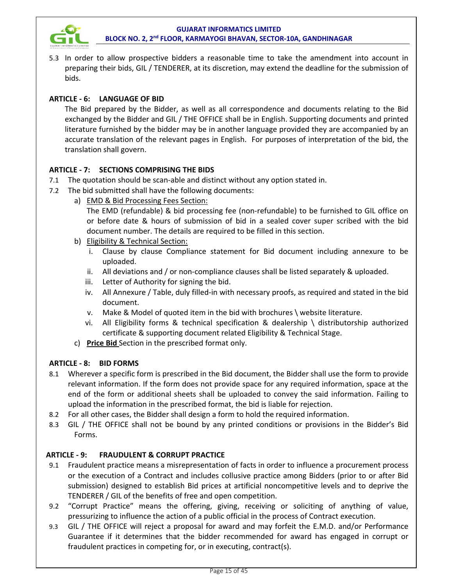

5.3 In order to allow prospective bidders a reasonable time to take the amendment into account in preparing their bids, GIL / TENDERER, at its discretion, may extend the deadline for the submission of bids.

# **ARTICLE - 6: LANGUAGE OF BID**

The Bid prepared by the Bidder, as well as all correspondence and documents relating to the Bid exchanged by the Bidder and GIL / THE OFFICE shall be in English. Supporting documents and printed literature furnished by the bidder may be in another language provided they are accompanied by an accurate translation of the relevant pages in English. For purposes of interpretation of the bid, the translation shall govern.

# **ARTICLE - 7: SECTIONS COMPRISING THE BIDS**

- 7.1 The quotation should be scan-able and distinct without any option stated in.
- 7.2 The bid submitted shall have the following documents:
	- a) EMD & Bid Processing Fees Section:

The EMD (refundable) & bid processing fee (non-refundable) to be furnished to GIL office on or before date & hours of submission of bid in a sealed cover super scribed with the bid document number. The details are required to be filled in this section.

- b) Eligibility & Technical Section:
	- i. Clause by clause Compliance statement for Bid document including annexure to be uploaded.
	- ii. All deviations and / or non-compliance clauses shall be listed separately & uploaded.
	- iii. Letter of Authority for signing the bid.
	- iv. All Annexure / Table, duly filled-in with necessary proofs, as required and stated in the bid document.
	- v. Make & Model of quoted item in the bid with brochures \ website literature.
	- vi. All Eligibility forms & technical specification & dealership \ distributorship authorized certificate & supporting document related Eligibility & Technical Stage.
- c) **Price Bid** Section in the prescribed format only.

# **ARTICLE - 8: BID FORMS**

- 8.1 Wherever a specific form is prescribed in the Bid document, the Bidder shall use the form to provide relevant information. If the form does not provide space for any required information, space at the end of the form or additional sheets shall be uploaded to convey the said information. Failing to upload the information in the prescribed format, the bid is liable for rejection.
- 8.2 For all other cases, the Bidder shall design a form to hold the required information.
- 8.3 GIL / THE OFFICE shall not be bound by any printed conditions or provisions in the Bidder's Bid Forms.

# **ARTICLE - 9: FRAUDULENT & CORRUPT PRACTICE**

- 9.1 Fraudulent practice means a misrepresentation of facts in order to influence a procurement process or the execution of a Contract and includes collusive practice among Bidders (prior to or after Bid submission) designed to establish Bid prices at artificial noncompetitive levels and to deprive the TENDERER / GIL of the benefits of free and open competition.
- 9.2 "Corrupt Practice" means the offering, giving, receiving or soliciting of anything of value, pressurizing to influence the action of a public official in the process of Contract execution.
- 9.3 GIL / THE OFFICE will reject a proposal for award and may forfeit the E.M.D. and/or Performance Guarantee if it determines that the bidder recommended for award has engaged in corrupt or fraudulent practices in competing for, or in executing, contract(s).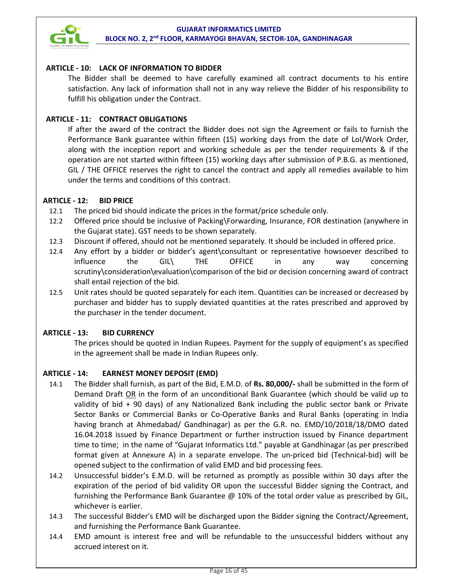

# **ARTICLE - 10: LACK OF INFORMATION TO BIDDER**

The Bidder shall be deemed to have carefully examined all contract documents to his entire satisfaction. Any lack of information shall not in any way relieve the Bidder of his responsibility to fulfill his obligation under the Contract.

# **ARTICLE - 11: CONTRACT OBLIGATIONS**

If after the award of the contract the Bidder does not sign the Agreement or fails to furnish the Performance Bank guarantee within fifteen (15) working days from the date of LoI/Work Order, along with the inception report and working schedule as per the tender requirements & if the operation are not started within fifteen (15) working days after submission of P.B.G. as mentioned, GIL / THE OFFICE reserves the right to cancel the contract and apply all remedies available to him under the terms and conditions of this contract.

# **ARTICLE - 12: BID PRICE**

- 12.1 The priced bid should indicate the prices in the format/price schedule only.
- 12.2 Offered price should be inclusive of Packing\Forwarding, Insurance, FOR destination (anywhere in the Gujarat state). GST needs to be shown separately.
- 12.3 Discount if offered, should not be mentioned separately. It should be included in offered price.
- 12.4 Any effort by a bidder or bidder's agent\consultant or representative howsoever described to influence the GIL\ THE OFFICE in any way concerning scrutiny\consideration\evaluation\comparison of the bid or decision concerning award of contract shall entail rejection of the bid.
- 12.5 Unit rates should be quoted separately for each item. Quantities can be increased or decreased by purchaser and bidder has to supply deviated quantities at the rates prescribed and approved by the purchaser in the tender document.

# **ARTICLE - 13: BID CURRENCY**

The prices should be quoted in Indian Rupees. Payment for the supply of equipment's as specified in the agreement shall be made in Indian Rupees only.

# **ARTICLE - 14: EARNEST MONEY DEPOSIT (EMD)**

- 14.1 The Bidder shall furnish, as part of the Bid, E.M.D. of **Rs. 80,000/-** shall be submitted in the form of Demand Draft OR in the form of an unconditional Bank Guarantee (which should be valid up to validity of bid + 90 days) of any Nationalized Bank including the public sector bank or Private Sector Banks or Commercial Banks or Co-Operative Banks and Rural Banks (operating in India having branch at Ahmedabad/ Gandhinagar) as per the G.R. no. EMD/10/2018/18/DMO dated 16.04.2018 issued by Finance Department or further instruction issued by Finance department time to time; in the name of "Gujarat Informatics Ltd." payable at Gandhinagar (as per prescribed format given at Annexure A) in a separate envelope. The un-priced bid (Technical-bid) will be opened subject to the confirmation of valid EMD and bid processing fees.
- 14.2 Unsuccessful bidder's E.M.D. will be returned as promptly as possible within 30 days after the expiration of the period of bid validity OR upon the successful Bidder signing the Contract, and furnishing the Performance Bank Guarantee @ 10% of the total order value as prescribed by GIL, whichever is earlier.
- 14.3 The successful Bidder's EMD will be discharged upon the Bidder signing the Contract/Agreement, and furnishing the Performance Bank Guarantee.
- 14.4 EMD amount is interest free and will be refundable to the unsuccessful bidders without any accrued interest on it.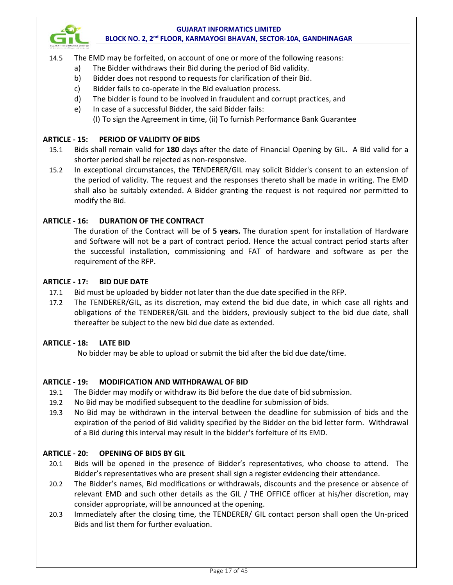

- 14.5 The EMD may be forfeited, on account of one or more of the following reasons:
	- a) The Bidder withdraws their Bid during the period of Bid validity.
	- b) Bidder does not respond to requests for clarification of their Bid.
	- c) Bidder fails to co-operate in the Bid evaluation process.
	- d) The bidder is found to be involved in fraudulent and corrupt practices, and
	- e) In case of a successful Bidder, the said Bidder fails: (I) To sign the Agreement in time, (ii) To furnish Performance Bank Guarantee

#### **ARTICLE - 15: PERIOD OF VALIDITY OF BIDS**

- 15.1 Bids shall remain valid for **180** days after the date of Financial Opening by GIL. A Bid valid for a shorter period shall be rejected as non-responsive.
- 15.2 In exceptional circumstances, the TENDERER/GIL may solicit Bidder's consent to an extension of the period of validity. The request and the responses thereto shall be made in writing. The EMD shall also be suitably extended. A Bidder granting the request is not required nor permitted to modify the Bid.

#### **ARTICLE - 16: DURATION OF THE CONTRACT**

The duration of the Contract will be of **5 years.** The duration spent for installation of Hardware and Software will not be a part of contract period. Hence the actual contract period starts after the successful installation, commissioning and FAT of hardware and software as per the requirement of the RFP.

#### **ARTICLE - 17: BID DUE DATE**

- 17.1 Bid must be uploaded by bidder not later than the due date specified in the RFP.
- 17.2 The TENDERER/GIL, as its discretion, may extend the bid due date, in which case all rights and obligations of the TENDERER/GIL and the bidders, previously subject to the bid due date, shall thereafter be subject to the new bid due date as extended.

#### **ARTICLE - 18: LATE BID**

No bidder may be able to upload or submit the bid after the bid due date/time.

# **ARTICLE - 19: MODIFICATION AND WITHDRAWAL OF BID**

- 19.1 The Bidder may modify or withdraw its Bid before the due date of bid submission.
- 19.2 No Bid may be modified subsequent to the deadline for submission of bids.
- 19.3 No Bid may be withdrawn in the interval between the deadline for submission of bids and the expiration of the period of Bid validity specified by the Bidder on the bid letter form. Withdrawal of a Bid during this interval may result in the bidder's forfeiture of its EMD.

#### **ARTICLE - 20: OPENING OF BIDS BY GIL**

- 20.1 Bids will be opened in the presence of Bidder's representatives, who choose to attend. The Bidder's representatives who are present shall sign a register evidencing their attendance.
- 20.2 The Bidder's names, Bid modifications or withdrawals, discounts and the presence or absence of relevant EMD and such other details as the GIL / THE OFFICE officer at his/her discretion, may consider appropriate, will be announced at the opening.
- 20.3 Immediately after the closing time, the TENDERER/ GIL contact person shall open the Un-priced Bids and list them for further evaluation.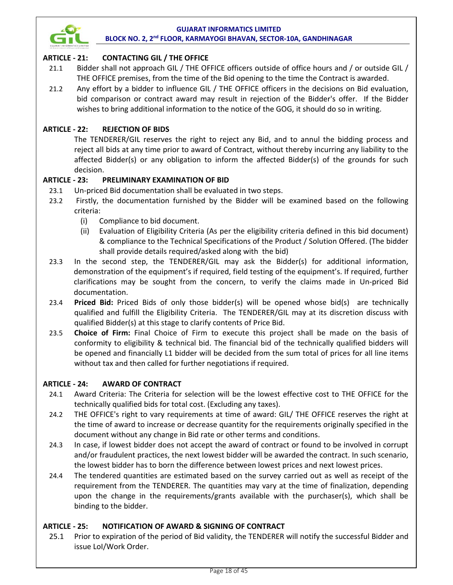

# **ARTICLE - 21: CONTACTING GIL / THE OFFICE**

- 21.1 Bidder shall not approach GIL / THE OFFICE officers outside of office hours and / or outside GIL / THE OFFICE premises, from the time of the Bid opening to the time the Contract is awarded.
- 21.2 Any effort by a bidder to influence GIL / THE OFFICE officers in the decisions on Bid evaluation, bid comparison or contract award may result in rejection of the Bidder's offer. If the Bidder wishes to bring additional information to the notice of the GOG, it should do so in writing.

# **ARTICLE - 22: REJECTION OF BIDS**

The TENDERER/GIL reserves the right to reject any Bid, and to annul the bidding process and reject all bids at any time prior to award of Contract, without thereby incurring any liability to the affected Bidder(s) or any obligation to inform the affected Bidder(s) of the grounds for such decision.

# **ARTICLE - 23: PRELIMINARY EXAMINATION OF BID**

- 23.1 Un-priced Bid documentation shall be evaluated in two steps.
- 23.2 Firstly, the documentation furnished by the Bidder will be examined based on the following criteria:
	- (i) Compliance to bid document.
	- (ii) Evaluation of Eligibility Criteria (As per the eligibility criteria defined in this bid document) & compliance to the Technical Specifications of the Product / Solution Offered. (The bidder shall provide details required/asked along with the bid)
- 23.3 In the second step, the TENDERER/GIL may ask the Bidder(s) for additional information, demonstration of the equipment's if required, field testing of the equipment's. If required, further clarifications may be sought from the concern, to verify the claims made in Un-priced Bid documentation.
- 23.4 **Priced Bid:** Priced Bids of only those bidder(s) will be opened whose bid(s) are technically qualified and fulfill the Eligibility Criteria. The TENDERER/GIL may at its discretion discuss with qualified Bidder(s) at this stage to clarify contents of Price Bid.
- 23.5 **Choice of Firm:** Final Choice of Firm to execute this project shall be made on the basis of conformity to eligibility & technical bid. The financial bid of the technically qualified bidders will be opened and financially L1 bidder will be decided from the sum total of prices for all line items without tax and then called for further negotiations if required.

# **ARTICLE - 24: AWARD OF CONTRACT**

- 24.1 Award Criteria: The Criteria for selection will be the lowest effective cost to THE OFFICE for the technically qualified bids for total cost. (Excluding any taxes).
- 24.2 THE OFFICE's right to vary requirements at time of award: GIL/ THE OFFICE reserves the right at the time of award to increase or decrease quantity for the requirements originally specified in the document without any change in Bid rate or other terms and conditions.
- 24.3 In case, if lowest bidder does not accept the award of contract or found to be involved in corrupt and/or fraudulent practices, the next lowest bidder will be awarded the contract. In such scenario, the lowest bidder has to born the difference between lowest prices and next lowest prices.
- 24.4 The tendered quantities are estimated based on the survey carried out as well as receipt of the requirement from the TENDERER. The quantities may vary at the time of finalization, depending upon the change in the requirements/grants available with the purchaser(s), which shall be binding to the bidder.

# **ARTICLE - 25: NOTIFICATION OF AWARD & SIGNING OF CONTRACT**

25.1 Prior to expiration of the period of Bid validity, the TENDERER will notify the successful Bidder and issue LoI/Work Order.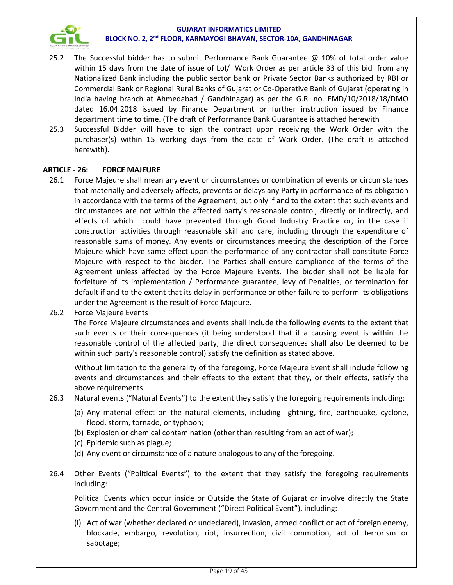

- 25.2 The Successful bidder has to submit Performance Bank Guarantee @ 10% of total order value within 15 days from the date of issue of LoI/ Work Order as per article 33 of this bid from any Nationalized Bank including the public sector bank or Private Sector Banks authorized by RBI or Commercial Bank or Regional Rural Banks of Gujarat or Co-Operative Bank of Gujarat (operating in India having branch at Ahmedabad / Gandhinagar) as per the G.R. no. EMD/10/2018/18/DMO dated 16.04.2018 issued by Finance Department or further instruction issued by Finance department time to time. (The draft of Performance Bank Guarantee is attached herewith
- 25.3 Successful Bidder will have to sign the contract upon receiving the Work Order with the purchaser(s) within 15 working days from the date of Work Order. (The draft is attached herewith).

# **ARTICLE - 26: FORCE MAJEURE**

- 26.1 Force Majeure shall mean any event or circumstances or combination of events or circumstances that materially and adversely affects, prevents or delays any Party in performance of its obligation in accordance with the terms of the Agreement, but only if and to the extent that such events and circumstances are not within the affected party's reasonable control, directly or indirectly, and effects of which could have prevented through Good Industry Practice or, in the case if construction activities through reasonable skill and care, including through the expenditure of reasonable sums of money. Any events or circumstances meeting the description of the Force Majeure which have same effect upon the performance of any contractor shall constitute Force Majeure with respect to the bidder. The Parties shall ensure compliance of the terms of the Agreement unless affected by the Force Majeure Events. The bidder shall not be liable for forfeiture of its implementation / Performance guarantee, levy of Penalties, or termination for default if and to the extent that its delay in performance or other failure to perform its obligations under the Agreement is the result of Force Majeure.
- 26.2 Force Majeure Events

The Force Majeure circumstances and events shall include the following events to the extent that such events or their consequences (it being understood that if a causing event is within the reasonable control of the affected party, the direct consequences shall also be deemed to be within such party's reasonable control) satisfy the definition as stated above.

Without limitation to the generality of the foregoing, Force Majeure Event shall include following events and circumstances and their effects to the extent that they, or their effects, satisfy the above requirements:

- 26.3 Natural events ("Natural Events") to the extent they satisfy the foregoing requirements including:
	- (a) Any material effect on the natural elements, including lightning, fire, earthquake, cyclone, flood, storm, tornado, or typhoon;
	- (b) Explosion or chemical contamination (other than resulting from an act of war);
	- (c) Epidemic such as plague;
	- (d) Any event or circumstance of a nature analogous to any of the foregoing.
- 26.4 Other Events ("Political Events") to the extent that they satisfy the foregoing requirements including:

 Political Events which occur inside or Outside the State of Gujarat or involve directly the State Government and the Central Government ("Direct Political Event"), including:

(i) Act of war (whether declared or undeclared), invasion, armed conflict or act of foreign enemy, blockade, embargo, revolution, riot, insurrection, civil commotion, act of terrorism or sabotage;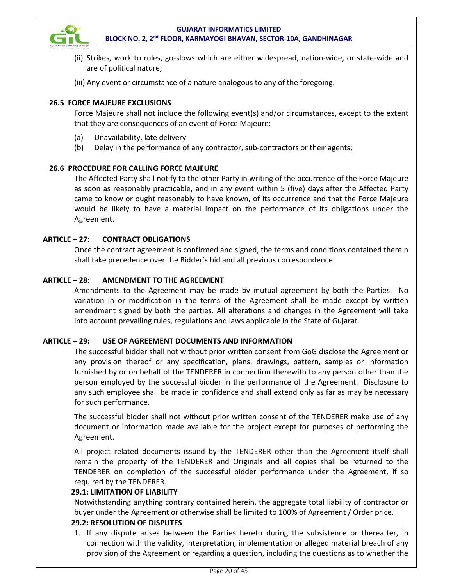

- (ii) Strikes, work to rules, go-slows which are either widespread, nation-wide, or state-wide and are of political nature;
- (iii) Any event or circumstance of a nature analogous to any of the foregoing.

# **26.5 FORCE MAJEURE EXCLUSIONS**

Force Majeure shall not include the following event(s) and/or circumstances, except to the extent that they are consequences of an event of Force Majeure:

- (a) Unavailability, late delivery
- (b) Delay in the performance of any contractor, sub-contractors or their agents;

# **26.6 PROCEDURE FOR CALLING FORCE MAJEURE**

The Affected Party shall notify to the other Party in writing of the occurrence of the Force Majeure as soon as reasonably practicable, and in any event within 5 (five) days after the Affected Party came to know or ought reasonably to have known, of its occurrence and that the Force Majeure would be likely to have a material impact on the performance of its obligations under the Agreement.

# **ARTICLE – 27: CONTRACT OBLIGATIONS**

Once the contract agreement is confirmed and signed, the terms and conditions contained therein shall take precedence over the Bidder's bid and all previous correspondence.

# **ARTICLE – 28: AMENDMENT TO THE AGREEMENT**

Amendments to the Agreement may be made by mutual agreement by both the Parties. No variation in or modification in the terms of the Agreement shall be made except by written amendment signed by both the parties. All alterations and changes in the Agreement will take into account prevailing rules, regulations and laws applicable in the State of Gujarat.

# **ARTICLE – 29: USE OF AGREEMENT DOCUMENTS AND INFORMATION**

The successful bidder shall not without prior written consent from GoG disclose the Agreement or any provision thereof or any specification, plans, drawings, pattern, samples or information furnished by or on behalf of the TENDERER in connection therewith to any person other than the person employed by the successful bidder in the performance of the Agreement. Disclosure to any such employee shall be made in confidence and shall extend only as far as may be necessary for such performance.

The successful bidder shall not without prior written consent of the TENDERER make use of any document or information made available for the project except for purposes of performing the Agreement.

All project related documents issued by the TENDERER other than the Agreement itself shall remain the property of the TENDERER and Originals and all copies shall be returned to the TENDERER on completion of the successful bidder performance under the Agreement, if so required by the TENDERER.

# **29.1: LIMITATION OF LIABILITY**

Notwithstanding anything contrary contained herein, the aggregate total liability of contractor or buyer under the Agreement or otherwise shall be limited to 100% of Agreement / Order price.

# **29.2: RESOLUTION OF DISPUTES**

1. If any dispute arises between the Parties hereto during the subsistence or thereafter, in connection with the validity, interpretation, implementation or alleged material breach of any provision of the Agreement or regarding a question, including the questions as to whether the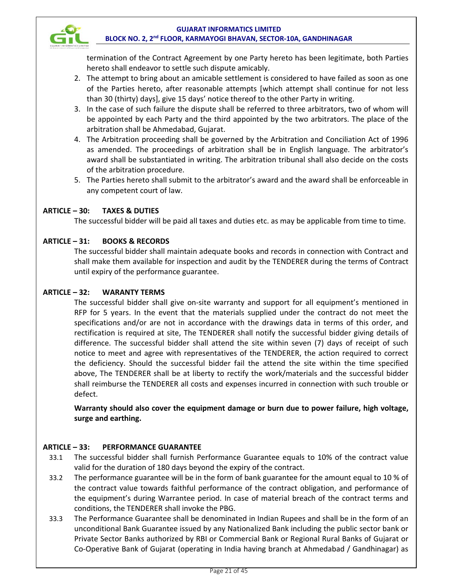

termination of the Contract Agreement by one Party hereto has been legitimate, both Parties hereto shall endeavor to settle such dispute amicably.

- 2. The attempt to bring about an amicable settlement is considered to have failed as soon as one of the Parties hereto, after reasonable attempts [which attempt shall continue for not less than 30 (thirty) days], give 15 days' notice thereof to the other Party in writing.
- 3. In the case of such failure the dispute shall be referred to three arbitrators, two of whom will be appointed by each Party and the third appointed by the two arbitrators. The place of the arbitration shall be Ahmedabad, Gujarat.
- 4. The Arbitration proceeding shall be governed by the Arbitration and Conciliation Act of 1996 as amended. The proceedings of arbitration shall be in English language. The arbitrator's award shall be substantiated in writing. The arbitration tribunal shall also decide on the costs of the arbitration procedure.
- 5. The Parties hereto shall submit to the arbitrator's award and the award shall be enforceable in any competent court of law.

# **ARTICLE – 30: TAXES & DUTIES**

The successful bidder will be paid all taxes and duties etc. as may be applicable from time to time.

# **ARTICLE – 31: BOOKS & RECORDS**

The successful bidder shall maintain adequate books and records in connection with Contract and shall make them available for inspection and audit by the TENDERER during the terms of Contract until expiry of the performance guarantee.

# **ARTICLE – 32: WARANTY TERMS**

The successful bidder shall give on-site warranty and support for all equipment's mentioned in RFP for 5 years. In the event that the materials supplied under the contract do not meet the specifications and/or are not in accordance with the drawings data in terms of this order, and rectification is required at site, The TENDERER shall notify the successful bidder giving details of difference. The successful bidder shall attend the site within seven (7) days of receipt of such notice to meet and agree with representatives of the TENDERER, the action required to correct the deficiency. Should the successful bidder fail the attend the site within the time specified above, The TENDERER shall be at liberty to rectify the work/materials and the successful bidder shall reimburse the TENDERER all costs and expenses incurred in connection with such trouble or defect.

**Warranty should also cover the equipment damage or burn due to power failure, high voltage, surge and earthing.** 

# **ARTICLE – 33: PERFORMANCE GUARANTEE**

- 33.1 The successful bidder shall furnish Performance Guarantee equals to 10% of the contract value valid for the duration of 180 days beyond the expiry of the contract.
- 33.2 The performance guarantee will be in the form of bank guarantee for the amount equal to 10 % of the contract value towards faithful performance of the contract obligation, and performance of the equipment's during Warrantee period. In case of material breach of the contract terms and conditions, the TENDERER shall invoke the PBG.
- 33.3 The Performance Guarantee shall be denominated in Indian Rupees and shall be in the form of an unconditional Bank Guarantee issued by any Nationalized Bank including the public sector bank or Private Sector Banks authorized by RBI or Commercial Bank or Regional Rural Banks of Gujarat or Co-Operative Bank of Gujarat (operating in India having branch at Ahmedabad / Gandhinagar) as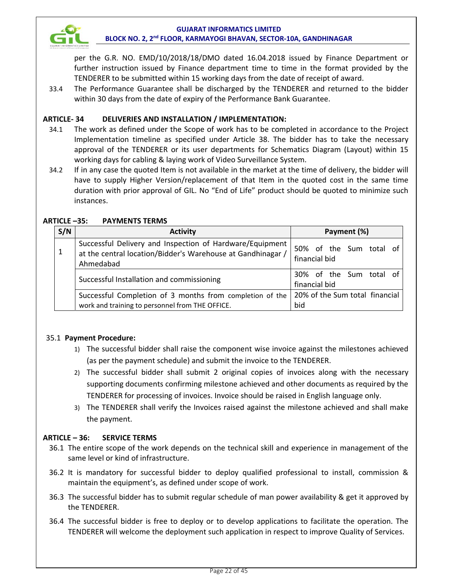

per the G.R. NO. EMD/10/2018/18/DMO dated 16.04.2018 issued by Finance Department or further instruction issued by Finance department time to time in the format provided by the TENDERER to be submitted within 15 working days from the date of receipt of award.

33.4 The Performance Guarantee shall be discharged by the TENDERER and returned to the bidder within 30 days from the date of expiry of the Performance Bank Guarantee.

# **ARTICLE- 34 DELIVERIES AND INSTALLATION / IMPLEMENTATION:**

- 34.1 The work as defined under the Scope of work has to be completed in accordance to the Project Implementation timeline as specified under Article 38. The bidder has to take the necessary approval of the TENDERER or its user departments for Schematics Diagram (Layout) within 15 working days for cabling & laying work of Video Surveillance System.
- 34.2 If in any case the quoted Item is not available in the market at the time of delivery, the bidder will have to supply Higher Version/replacement of that Item in the quoted cost in the same time duration with prior approval of GIL. No "End of Life" product should be quoted to minimize such instances.

| S/N                                                                                                         | <b>Activity</b>                                                                                                                      | Payment (%)                              |
|-------------------------------------------------------------------------------------------------------------|--------------------------------------------------------------------------------------------------------------------------------------|------------------------------------------|
|                                                                                                             | Successful Delivery and Inspection of Hardware/Equipment<br>at the central location/Bidder's Warehouse at Gandhinagar /<br>Ahmedabad | 50% of the Sum total of<br>financial bid |
|                                                                                                             | Successful Installation and commissioning                                                                                            | 30% of the Sum total of<br>financial bid |
| Successful Completion of 3 months from completion of the<br>work and training to personnel from THE OFFICE. |                                                                                                                                      | 20% of the Sum total financial<br>bid    |

#### **ARTICLE –35: PAYMENTS TERMS**

# 35.1 **Payment Procedure:**

- 1) The successful bidder shall raise the component wise invoice against the milestones achieved (as per the payment schedule) and submit the invoice to the TENDERER.
- 2) The successful bidder shall submit 2 original copies of invoices along with the necessary supporting documents confirming milestone achieved and other documents as required by the TENDERER for processing of invoices. Invoice should be raised in English language only.
- 3) The TENDERER shall verify the Invoices raised against the milestone achieved and shall make the payment.

# **ARTICLE – 36: SERVICE TERMS**

- 36.1 The entire scope of the work depends on the technical skill and experience in management of the same level or kind of infrastructure.
- 36.2 It is mandatory for successful bidder to deploy qualified professional to install, commission & maintain the equipment's, as defined under scope of work.
- 36.3 The successful bidder has to submit regular schedule of man power availability & get it approved by the TENDERER.
- 36.4 The successful bidder is free to deploy or to develop applications to facilitate the operation. The TENDERER will welcome the deployment such application in respect to improve Quality of Services.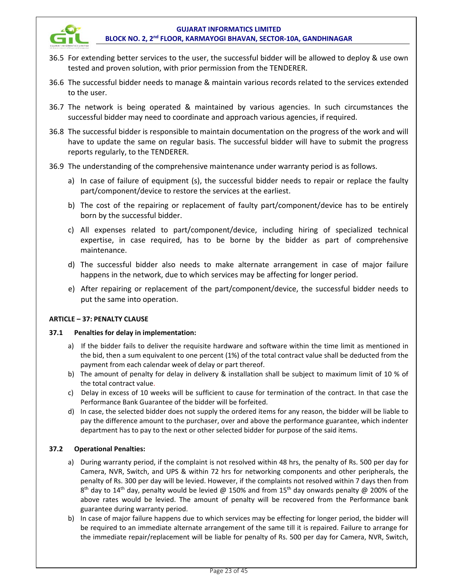

- 36.5 For extending better services to the user, the successful bidder will be allowed to deploy & use own tested and proven solution, with prior permission from the TENDERER.
- 36.6 The successful bidder needs to manage & maintain various records related to the services extended to the user.
- 36.7 The network is being operated & maintained by various agencies. In such circumstances the successful bidder may need to coordinate and approach various agencies, if required.
- 36.8 The successful bidder is responsible to maintain documentation on the progress of the work and will have to update the same on regular basis. The successful bidder will have to submit the progress reports regularly, to the TENDERER.
- 36.9 The understanding of the comprehensive maintenance under warranty period is as follows.
	- a) In case of failure of equipment (s), the successful bidder needs to repair or replace the faulty part/component/device to restore the services at the earliest.
	- b) The cost of the repairing or replacement of faulty part/component/device has to be entirely born by the successful bidder.
	- c) All expenses related to part/component/device, including hiring of specialized technical expertise, in case required, has to be borne by the bidder as part of comprehensive maintenance.
	- d) The successful bidder also needs to make alternate arrangement in case of major failure happens in the network, due to which services may be affecting for longer period.
	- e) After repairing or replacement of the part/component/device, the successful bidder needs to put the same into operation.

# **ARTICLE – 37: PENALTY CLAUSE**

#### **37.1 Penalties for delay in implementation:**

- a) If the bidder fails to deliver the requisite hardware and software within the time limit as mentioned in the bid, then a sum equivalent to one percent (1%) of the total contract value shall be deducted from the payment from each calendar week of delay or part thereof.
- b) The amount of penalty for delay in delivery & installation shall be subject to maximum limit of 10 % of the total contract value.
- c) Delay in excess of 10 weeks will be sufficient to cause for termination of the contract. In that case the Performance Bank Guarantee of the bidder will be forfeited.
- d) In case, the selected bidder does not supply the ordered items for any reason, the bidder will be liable to pay the difference amount to the purchaser, over and above the performance guarantee, which indenter department has to pay to the next or other selected bidder for purpose of the said items.

# **37.2 Operational Penalties:**

- a) During warranty period, if the complaint is not resolved within 48 hrs, the penalty of Rs. 500 per day for Camera, NVR, Switch, and UPS & within 72 hrs for networking components and other peripherals, the penalty of Rs. 300 per day will be levied. However, if the complaints not resolved within 7 days then from  $8<sup>th</sup>$  day to 14<sup>th</sup> day, penalty would be levied @ 150% and from 15<sup>th</sup> day onwards penalty @ 200% of the above rates would be levied. The amount of penalty will be recovered from the Performance bank guarantee during warranty period.
- b) In case of major failure happens due to which services may be effecting for longer period, the bidder will be required to an immediate alternate arrangement of the same till it is repaired. Failure to arrange for the immediate repair/replacement will be liable for penalty of Rs. 500 per day for Camera, NVR, Switch,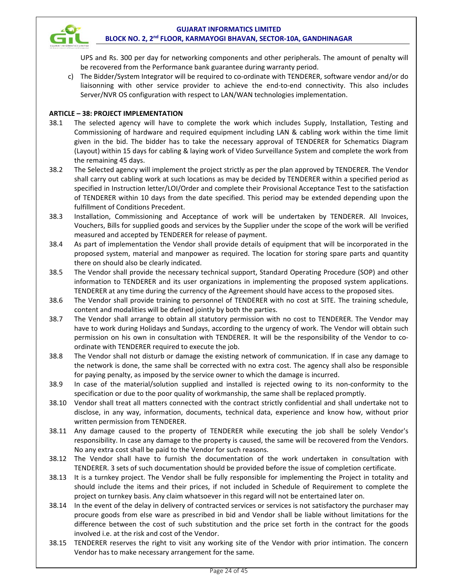

UPS and Rs. 300 per day for networking components and other peripherals. The amount of penalty will be recovered from the Performance bank guarantee during warranty period.

c) The Bidder/System Integrator will be required to co-ordinate with TENDERER, software vendor and/or do liaisonning with other service provider to achieve the end-to-end connectivity. This also includes Server/NVR OS configuration with respect to LAN/WAN technologies implementation.

#### **ARTICLE – 38: PROJECT IMPLEMENTATION**

- 38.1 The selected agency will have to complete the work which includes Supply, Installation, Testing and Commissioning of hardware and required equipment including LAN & cabling work within the time limit given in the bid. The bidder has to take the necessary approval of TENDERER for Schematics Diagram (Layout) within 15 days for cabling & laying work of Video Surveillance System and complete the work from the remaining 45 days.
- 38.2 The Selected agency will implement the project strictly as per the plan approved by TENDERER. The Vendor shall carry out cabling work at such locations as may be decided by TENDERER within a specified period as specified in Instruction letter/LOI/Order and complete their Provisional Acceptance Test to the satisfaction of TENDERER within 10 days from the date specified. This period may be extended depending upon the fulfillment of Conditions Precedent.
- 38.3 Installation, Commissioning and Acceptance of work will be undertaken by TENDERER. All Invoices, Vouchers, Bills for supplied goods and services by the Supplier under the scope of the work will be verified measured and accepted by TENDERER for release of payment.
- 38.4 As part of implementation the Vendor shall provide details of equipment that will be incorporated in the proposed system, material and manpower as required. The location for storing spare parts and quantity there on should also be clearly indicated.
- 38.5 The Vendor shall provide the necessary technical support, Standard Operating Procedure (SOP) and other information to TENDERER and its user organizations in implementing the proposed system applications. TENDERER at any time during the currency of the Agreement should have access to the proposed sites.
- 38.6 The Vendor shall provide training to personnel of TENDERER with no cost at SITE. The training schedule, content and modalities will be defined jointly by both the parties.
- 38.7 The Vendor shall arrange to obtain all statutory permission with no cost to TENDERER. The Vendor may have to work during Holidays and Sundays, according to the urgency of work. The Vendor will obtain such permission on his own in consultation with TENDERER. It will be the responsibility of the Vendor to coordinate with TENDERER required to execute the job.
- 38.8 The Vendor shall not disturb or damage the existing network of communication. If in case any damage to the network is done, the same shall be corrected with no extra cost. The agency shall also be responsible for paying penalty, as imposed by the service owner to which the damage is incurred.
- 38.9 In case of the material/solution supplied and installed is rejected owing to its non-conformity to the specification or due to the poor quality of workmanship, the same shall be replaced promptly.
- 38.10 Vendor shall treat all matters connected with the contract strictly confidential and shall undertake not to disclose, in any way, information, documents, technical data, experience and know how, without prior written permission from TENDERER.
- 38.11 Any damage caused to the property of TENDERER while executing the job shall be solely Vendor's responsibility. In case any damage to the property is caused, the same will be recovered from the Vendors. No any extra cost shall be paid to the Vendor for such reasons.
- 38.12 The Vendor shall have to furnish the documentation of the work undertaken in consultation with TENDERER. 3 sets of such documentation should be provided before the issue of completion certificate.
- 38.13 It is a turnkey project. The Vendor shall be fully responsible for implementing the Project in totality and should include the items and their prices, if not included in Schedule of Requirement to complete the project on turnkey basis. Any claim whatsoever in this regard will not be entertained later on.
- 38.14 In the event of the delay in delivery of contracted services or services is not satisfactory the purchaser may procure goods from else ware as prescribed in bid and Vendor shall be liable without limitations for the difference between the cost of such substitution and the price set forth in the contract for the goods involved i.e. at the risk and cost of the Vendor.
- 38.15 TENDERER reserves the right to visit any working site of the Vendor with prior intimation. The concern Vendor has to make necessary arrangement for the same.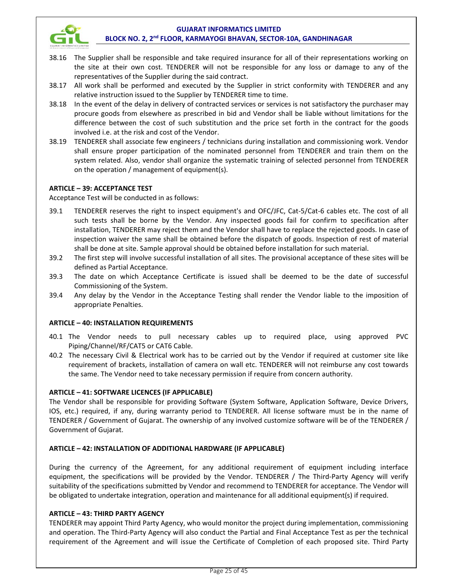

- 38.16 The Supplier shall be responsible and take required insurance for all of their representations working on the site at their own cost. TENDERER will not be responsible for any loss or damage to any of the representatives of the Supplier during the said contract.
- 38.17 All work shall be performed and executed by the Supplier in strict conformity with TENDERER and any relative instruction issued to the Supplier by TENDERER time to time.
- 38.18 In the event of the delay in delivery of contracted services or services is not satisfactory the purchaser may procure goods from elsewhere as prescribed in bid and Vendor shall be liable without limitations for the difference between the cost of such substitution and the price set forth in the contract for the goods involved i.e. at the risk and cost of the Vendor.
- 38.19 TENDERER shall associate few engineers / technicians during installation and commissioning work. Vendor shall ensure proper participation of the nominated personnel from TENDERER and train them on the system related. Also, vendor shall organize the systematic training of selected personnel from TENDERER on the operation / management of equipment(s).

# **ARTICLE – 39: ACCEPTANCE TEST**

Acceptance Test will be conducted in as follows:

- 39.1 TENDERER reserves the right to inspect equipment's and OFC/JFC, Cat-5/Cat-6 cables etc. The cost of all such tests shall be borne by the Vendor. Any inspected goods fail for confirm to specification after installation, TENDERER may reject them and the Vendor shall have to replace the rejected goods. In case of inspection waiver the same shall be obtained before the dispatch of goods. Inspection of rest of material shall be done at site. Sample approval should be obtained before installation for such material.
- 39.2 The first step will involve successful installation of all sites. The provisional acceptance of these sites will be defined as Partial Acceptance.
- 39.3 The date on which Acceptance Certificate is issued shall be deemed to be the date of successful Commissioning of the System.
- 39.4 Any delay by the Vendor in the Acceptance Testing shall render the Vendor liable to the imposition of appropriate Penalties.

# **ARTICLE – 40: INSTALLATION REQUIREMENTS**

- 40.1 The Vendor needs to pull necessary cables up to required place, using approved PVC Piping/Channel/RF/CAT5 or CAT6 Cable.
- 40.2 The necessary Civil & Electrical work has to be carried out by the Vendor if required at customer site like requirement of brackets, installation of camera on wall etc. TENDERER will not reimburse any cost towards the same. The Vendor need to take necessary permission if require from concern authority.

# **ARTICLE – 41: SOFTWARE LICENCES (IF APPLICABLE)**

The Vendor shall be responsible for providing Software (System Software, Application Software, Device Drivers, IOS, etc.) required, if any, during warranty period to TENDERER. All license software must be in the name of TENDERER / Government of Gujarat. The ownership of any involved customize software will be of the TENDERER / Government of Gujarat.

# **ARTICLE – 42: INSTALLATION OF ADDITIONAL HARDWARE (IF APPLICABLE)**

During the currency of the Agreement, for any additional requirement of equipment including interface equipment, the specifications will be provided by the Vendor. TENDERER / The Third-Party Agency will verify suitability of the specifications submitted by Vendor and recommend to TENDERER for acceptance. The Vendor will be obligated to undertake integration, operation and maintenance for all additional equipment(s) if required.

# **ARTICLE – 43: THIRD PARTY AGENCY**

TENDERER may appoint Third Party Agency, who would monitor the project during implementation, commissioning and operation. The Third-Party Agency will also conduct the Partial and Final Acceptance Test as per the technical requirement of the Agreement and will issue the Certificate of Completion of each proposed site. Third Party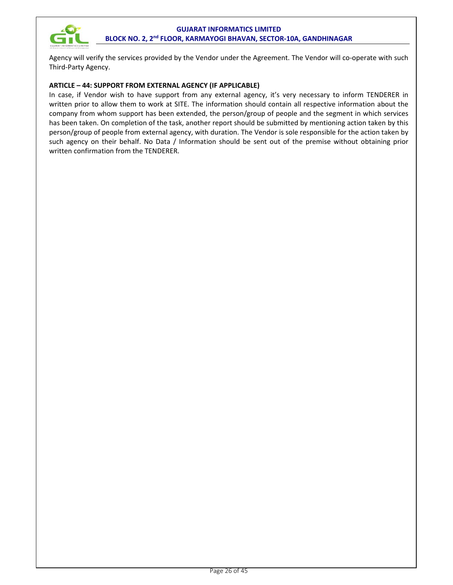

Agency will verify the services provided by the Vendor under the Agreement. The Vendor will co-operate with such Third-Party Agency.

#### **ARTICLE – 44: SUPPORT FROM EXTERNAL AGENCY (IF APPLICABLE)**

In case, if Vendor wish to have support from any external agency, it's very necessary to inform TENDERER in written prior to allow them to work at SITE. The information should contain all respective information about the company from whom support has been extended, the person/group of people and the segment in which services has been taken. On completion of the task, another report should be submitted by mentioning action taken by this person/group of people from external agency, with duration. The Vendor is sole responsible for the action taken by such agency on their behalf. No Data / Information should be sent out of the premise without obtaining prior written confirmation from the TENDERER.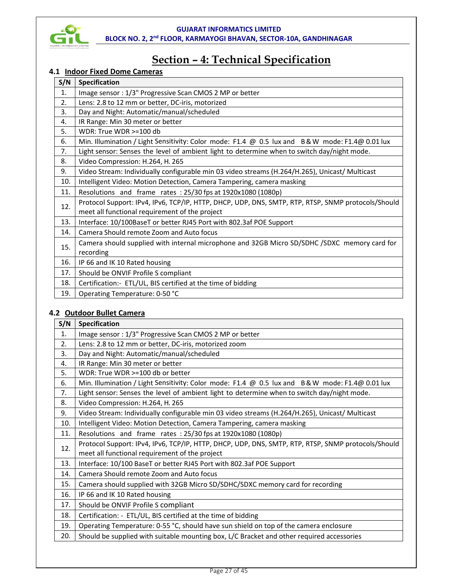

# **Section – 4: Technical Specification**

# **4.1 Indoor Fixed Dome Cameras**

| S/N            | Specification                                                                                      |
|----------------|----------------------------------------------------------------------------------------------------|
| $\mathbf{1}$ . | Image sensor: 1/3" Progressive Scan CMOS 2 MP or better                                            |
| 2.             | Lens: 2.8 to 12 mm or better, DC-iris, motorized                                                   |
| 3.             | Day and Night: Automatic/manual/scheduled                                                          |
| 4.             | IR Range: Min 30 meter or better                                                                   |
| 5.             | WDR: True WDR $> = 100$ db                                                                         |
| 6.             | Min. Illumination / Light Sensitivity: Color mode: F1.4 @ 0.5 lux and B&W mode: F1.4@ 0.01 lux     |
| 7.             | Light sensor: Senses the level of ambient light to determine when to switch day/night mode.        |
| 8.             | Video Compression: H.264, H. 265                                                                   |
| 9.             | Video Stream: Individually configurable min 03 video streams (H.264/H.265), Unicast/ Multicast     |
| 10.            | Intelligent Video: Motion Detection, Camera Tampering, camera masking                              |
| 11.            | Resolutions and frame rates: 25/30 fps at 1920x1080 (1080p)                                        |
| 12.            | Protocol Support: IPv4, IPv6, TCP/IP, HTTP, DHCP, UDP, DNS, SMTP, RTP, RTSP, SNMP protocols/Should |
|                | meet all functional requirement of the project                                                     |
| 13.            | Interface: 10/100BaseT or better RJ45 Port with 802.3af POE Support                                |
| 14.            | Camera Should remote Zoom and Auto focus                                                           |
| 15.            | Camera should supplied with internal microphone and 32GB Micro SD/SDHC /SDXC memory card for       |
|                | recording                                                                                          |
| 16.            | IP 66 and IK 10 Rated housing                                                                      |
| 17.            | Should be ONVIF Profile S compliant                                                                |
| 18.            | Certification:- ETL/UL, BIS certified at the time of bidding                                       |
| 19.            | Operating Temperature: 0-50 °C                                                                     |

# **4.2 Outdoor Bullet Camera**

| S/N | Specification                                                                                      |  |  |
|-----|----------------------------------------------------------------------------------------------------|--|--|
| 1.  | Image sensor: 1/3" Progressive Scan CMOS 2 MP or better                                            |  |  |
| 2.  | Lens: 2.8 to 12 mm or better, DC-iris, motorized zoom                                              |  |  |
| 3.  | Day and Night: Automatic/manual/scheduled                                                          |  |  |
| 4.  | IR Range: Min 30 meter or better                                                                   |  |  |
| 5.  | WDR: True WDR >=100 db or better                                                                   |  |  |
| 6.  | Min. Illumination / Light Sensitivity: Color mode: F1.4 @ 0.5 lux and B&W mode: F1.4@ 0.01 lux     |  |  |
| 7.  | Light sensor: Senses the level of ambient light to determine when to switch day/night mode.        |  |  |
| 8.  | Video Compression: H.264, H. 265                                                                   |  |  |
| 9.  | Video Stream: Individually configurable min 03 video streams (H.264/H.265), Unicast/ Multicast     |  |  |
| 10. | Intelligent Video: Motion Detection, Camera Tampering, camera masking                              |  |  |
| 11. | Resolutions and frame rates: 25/30 fps at 1920x1080 (1080p)                                        |  |  |
| 12. | Protocol Support: IPv4, IPv6, TCP/IP, HTTP, DHCP, UDP, DNS, SMTP, RTP, RTSP, SNMP protocols/Should |  |  |
|     | meet all functional requirement of the project                                                     |  |  |
| 13. | Interface: 10/100 BaseT or better RJ45 Port with 802.3af POE Support                               |  |  |
| 14. | Camera Should remote Zoom and Auto focus                                                           |  |  |
| 15. | Camera should supplied with 32GB Micro SD/SDHC/SDXC memory card for recording                      |  |  |
| 16. | IP 66 and IK 10 Rated housing                                                                      |  |  |
| 17. | Should be ONVIF Profile S compliant                                                                |  |  |
| 18. | Certification: - ETL/UL, BIS certified at the time of bidding                                      |  |  |
| 19. | Operating Temperature: 0-55 °C, should have sun shield on top of the camera enclosure              |  |  |
| 20. | Should be supplied with suitable mounting box, L/C Bracket and other required accessories          |  |  |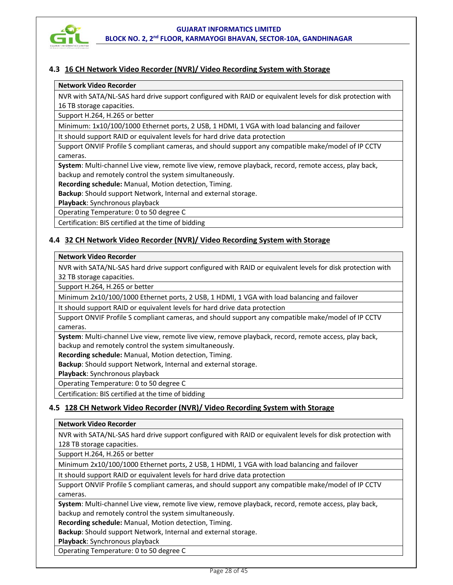

# **4.3 16 CH Network Video Recorder (NVR)/ Video Recording System with Storage**

#### **Network Video Recorder**

NVR with SATA/NL-SAS hard drive support configured with RAID or equivalent levels for disk protection with 16 TB storage capacities.

Support H.264, H.265 or better

Minimum: 1x10/100/1000 Ethernet ports, 2 USB, 1 HDMI, 1 VGA with load balancing and failover

It should support RAID or equivalent levels for hard drive data protection

Support ONVIF Profile S compliant cameras, and should support any compatible make/model of IP CCTV cameras.

**System**: Multi-channel Live view, remote live view, remove playback, record, remote access, play back, backup and remotely control the system simultaneously.

**Recording schedule:** Manual, Motion detection, Timing.

**Backup**: Should support Network, Internal and external storage.

**Playback**: Synchronous playback

Operating Temperature: 0 to 50 degree C

Certification: BIS certified at the time of bidding

#### **4.4 32 CH Network Video Recorder (NVR)/ Video Recording System with Storage**

#### **Network Video Recorder**

NVR with SATA/NL-SAS hard drive support configured with RAID or equivalent levels for disk protection with 32 TB storage capacities.

Support H.264, H.265 or better

Minimum 2x10/100/1000 Ethernet ports, 2 USB, 1 HDMI, 1 VGA with load balancing and failover

It should support RAID or equivalent levels for hard drive data protection

Support ONVIF Profile S compliant cameras, and should support any compatible make/model of IP CCTV cameras.

**System**: Multi-channel Live view, remote live view, remove playback, record, remote access, play back, backup and remotely control the system simultaneously.

**Recording schedule:** Manual, Motion detection, Timing.

**Backup**: Should support Network, Internal and external storage.

**Playback**: Synchronous playback

Operating Temperature: 0 to 50 degree C

Certification: BIS certified at the time of bidding

# **4.5 128 CH Network Video Recorder (NVR)/ Video Recording System with Storage**

#### **Network Video Recorder**

NVR with SATA/NL-SAS hard drive support configured with RAID or equivalent levels for disk protection with 128 TB storage capacities.

Support H.264, H.265 or better

Minimum 2x10/100/1000 Ethernet ports, 2 USB, 1 HDMI, 1 VGA with load balancing and failover

It should support RAID or equivalent levels for hard drive data protection

Support ONVIF Profile S compliant cameras, and should support any compatible make/model of IP CCTV cameras.

**System**: Multi-channel Live view, remote live view, remove playback, record, remote access, play back, backup and remotely control the system simultaneously.

**Recording schedule:** Manual, Motion detection, Timing.

**Backup**: Should support Network, Internal and external storage.

**Playback**: Synchronous playback

Operating Temperature: 0 to 50 degree C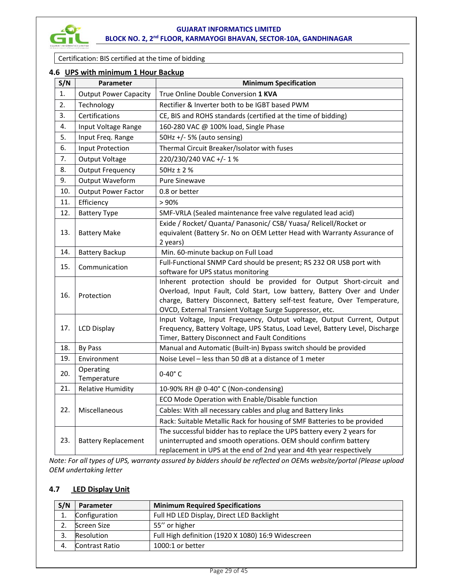

Certification: BIS certified at the time of bidding

### **4.6 UPS with minimum 1 Hour Backup**

| S/N | Parameter                    | <b>Minimum Specification</b>                                                                                                                                                                                                                                                         |
|-----|------------------------------|--------------------------------------------------------------------------------------------------------------------------------------------------------------------------------------------------------------------------------------------------------------------------------------|
| 1.  | <b>Output Power Capacity</b> | True Online Double Conversion 1 KVA                                                                                                                                                                                                                                                  |
| 2.  | Technology                   | Rectifier & Inverter both to be IGBT based PWM                                                                                                                                                                                                                                       |
| 3.  | Certifications               | CE, BIS and ROHS standards (certified at the time of bidding)                                                                                                                                                                                                                        |
| 4.  | Input Voltage Range          | 160-280 VAC @ 100% load, Single Phase                                                                                                                                                                                                                                                |
| 5.  | Input Freq. Range            | 50Hz +/- 5% (auto sensing)                                                                                                                                                                                                                                                           |
| 6.  | <b>Input Protection</b>      | Thermal Circuit Breaker/Isolator with fuses                                                                                                                                                                                                                                          |
| 7.  | <b>Output Voltage</b>        | 220/230/240 VAC +/-1%                                                                                                                                                                                                                                                                |
| 8.  | <b>Output Frequency</b>      | $50$ Hz $\pm$ 2%                                                                                                                                                                                                                                                                     |
| 9.  | Output Waveform              | <b>Pure Sinewave</b>                                                                                                                                                                                                                                                                 |
| 10. | <b>Output Power Factor</b>   | 0.8 or better                                                                                                                                                                                                                                                                        |
| 11. | Efficiency                   | >90%                                                                                                                                                                                                                                                                                 |
| 12. | <b>Battery Type</b>          | SMF-VRLA (Sealed maintenance free valve regulated lead acid)                                                                                                                                                                                                                         |
| 13. | <b>Battery Make</b>          | Exide / Rocket/ Quanta/ Panasonic/ CSB/ Yuasa/ Relicell/Rocket or<br>equivalent (Battery Sr. No on OEM Letter Head with Warranty Assurance of<br>2 years)                                                                                                                            |
| 14. | <b>Battery Backup</b>        | Min. 60-minute backup on Full Load                                                                                                                                                                                                                                                   |
| 15. | Communication                | Full-Functional SNMP Card should be present; RS 232 OR USB port with<br>software for UPS status monitoring                                                                                                                                                                           |
| 16. | Protection                   | Inherent protection should be provided for Output Short-circuit and<br>Overload, Input Fault, Cold Start, Low battery, Battery Over and Under<br>charge, Battery Disconnect, Battery self-test feature, Over Temperature,<br>OVCD, External Transient Voltage Surge Suppressor, etc. |
| 17. | <b>LCD Display</b>           | Input Voltage, Input Frequency, Output voltage, Output Current, Output<br>Frequency, Battery Voltage, UPS Status, Load Level, Battery Level, Discharge<br>Timer, Battery Disconnect and Fault Conditions                                                                             |
| 18. | By Pass                      | Manual and Automatic (Built-in) Bypass switch should be provided                                                                                                                                                                                                                     |
| 19. | Environment                  | Noise Level - less than 50 dB at a distance of 1 meter                                                                                                                                                                                                                               |
| 20. | Operating<br>Temperature     | $0-40^\circ$ C                                                                                                                                                                                                                                                                       |
| 21. | <b>Relative Humidity</b>     | 10-90% RH @ 0-40° C (Non-condensing)                                                                                                                                                                                                                                                 |
|     |                              | ECO Mode Operation with Enable/Disable function                                                                                                                                                                                                                                      |
| 22. | Miscellaneous                | Cables: With all necessary cables and plug and Battery links                                                                                                                                                                                                                         |
|     |                              | Rack: Suitable Metallic Rack for housing of SMF Batteries to be provided                                                                                                                                                                                                             |
| 23. | <b>Battery Replacement</b>   | The successful bidder has to replace the UPS battery every 2 years for<br>uninterrupted and smooth operations. OEM should confirm battery<br>replacement in UPS at the end of 2nd year and 4th year respectively                                                                     |

*Note: For all types of UPS, warranty assured by bidders should be reflected on OEMs website/portal (Please upload OEM undertaking letter* 

# **4.7 LED Display Unit**

| S/N | Parameter      | <b>Minimum Required Specifications</b>             |
|-----|----------------|----------------------------------------------------|
|     | Configuration  | Full HD LED Display, Direct LED Backlight          |
|     | Screen Size    | 55" or higher                                      |
|     | Resolution     | Full High definition (1920 X 1080) 16:9 Widescreen |
|     | Contrast Ratio | $1000:1$ or better                                 |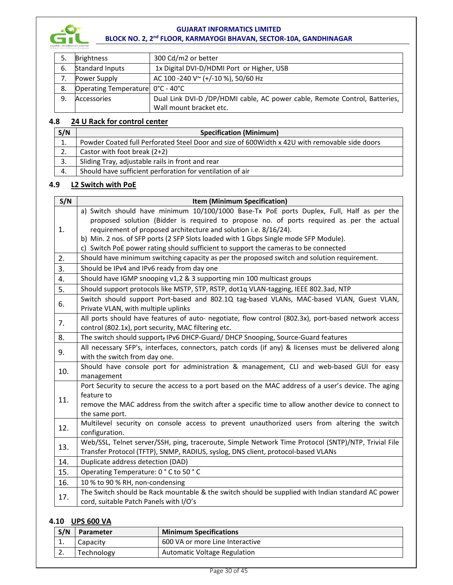

| 5. | <b>Brightness</b>                | 300 Cd/m2 or better                                                        |
|----|----------------------------------|----------------------------------------------------------------------------|
| 6. | <b>Standard Inputs</b>           | 1x Digital DVI-D/HDMI Port or Higher, USB                                  |
|    | Power Supply                     | AC 100 -240 V ~ (+/-10 %), 50/60 Hz                                        |
| 8. | Operating Temperature 0°C - 40°C |                                                                            |
| 9. | Accessories                      | Dual Link DVI-D /DP/HDMI cable, AC power cable, Remote Control, Batteries, |
|    |                                  | Wall mount bracket etc.                                                    |

# **4.8 24 U Rack for control center**

| S/N | <b>Specification (Minimum)</b>                                                                |  |
|-----|-----------------------------------------------------------------------------------------------|--|
| ⊥.  | Powder Coated full Perforated Steel Door and size of 600Width x 42U with removable side doors |  |
| z.  | Castor with foot break $(2+2)$                                                                |  |
|     | Sliding Tray, adjustable rails in front and rear                                              |  |
|     | Should have sufficient perforation for ventilation of air                                     |  |

# **4.9 L2 Switch with PoE**

| S/N | Item (Minimum Specification)                                                                                                                |  |  |
|-----|---------------------------------------------------------------------------------------------------------------------------------------------|--|--|
|     | a) Switch should have minimum 10/100/1000 Base-Tx PoE ports Duplex, Full, Half as per the                                                   |  |  |
|     | proposed solution (Bidder is required to propose no. of ports required as per the actual                                                    |  |  |
| 1.  | requirement of proposed architecture and solution i.e. 8/16/24).                                                                            |  |  |
|     | b) Min. 2 nos. of SFP ports (2 SFP Slots loaded with 1 Gbps Single mode SFP Module).                                                        |  |  |
|     | c) Switch PoE power rating should sufficient to support the cameras to be connected                                                         |  |  |
| 2.  | Should have minimum switching capacity as per the proposed switch and solution requirement.                                                 |  |  |
| 3.  | Should be IPv4 and IPv6 ready from day one                                                                                                  |  |  |
| 4.  | Should have IGMP snooping v1,2 & 3 supporting min 100 multicast groups                                                                      |  |  |
| 5.  | Should support protocols like MSTP, STP, RSTP, dot1q VLAN-tagging, IEEE 802.3ad, NTP                                                        |  |  |
| 6.  | Switch should support Port-based and 802.1Q tag-based VLANs, MAC-based VLAN, Guest VLAN,<br>Private VLAN, with multiple uplinks             |  |  |
| 7.  | All ports should have features of auto- negotiate, flow control (802.3x), port-based network access                                         |  |  |
|     | control (802.1x), port security, MAC filtering etc.                                                                                         |  |  |
| 8.  | The switch should support, IPv6 DHCP-Guard/ DHCP Snooping, Source-Guard features                                                            |  |  |
| 9.  | All necessary SFP's, interfaces, connectors, patch cords (if any) & licenses must be delivered along                                        |  |  |
|     | with the switch from day one.                                                                                                               |  |  |
| 10. | Should have console port for administration & management, CLI and web-based GUI for easy<br>management                                      |  |  |
|     | Port Security to secure the access to a port based on the MAC address of a user's device. The aging                                         |  |  |
| 11. | feature to                                                                                                                                  |  |  |
|     | remove the MAC address from the switch after a specific time to allow another device to connect to                                          |  |  |
|     | the same port.                                                                                                                              |  |  |
| 12. | Multilevel security on console access to prevent unauthorized users from altering the switch                                                |  |  |
|     | configuration.                                                                                                                              |  |  |
| 13. | Web/SSL, Telnet server/SSH, ping, traceroute, Simple Network Time Protocol (SNTP)/NTP, Trivial File                                         |  |  |
|     | Transfer Protocol (TFTP), SNMP, RADIUS, syslog, DNS client, protocol-based VLANs                                                            |  |  |
| 14. | Duplicate address detection (DAD)                                                                                                           |  |  |
| 15. | Operating Temperature: 0 °C to 50 °C                                                                                                        |  |  |
| 16. | 10 % to 90 % RH, non-condensing                                                                                                             |  |  |
| 17. | The Switch should be Rack mountable & the switch should be supplied with Indian standard AC power<br>cord, suitable Patch Panels with I/O's |  |  |

# **4.10 UPS 600 VA**

| S/N       | Parameter  | <b>Minimum Specifications</b>   |
|-----------|------------|---------------------------------|
| ᆠ.        | Capacity   | 600 VA or more Line Interactive |
| <u>L.</u> | Technology | Automatic Voltage Regulation    |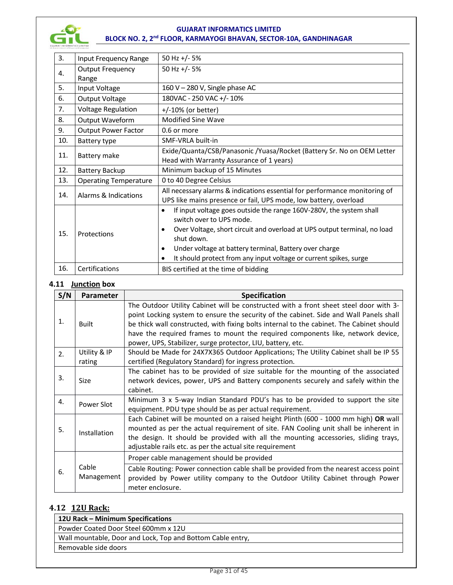

| 3.  | Input Frequency Range        | 50 Hz +/- 5%                                                                     |
|-----|------------------------------|----------------------------------------------------------------------------------|
| 4.  | <b>Output Frequency</b>      | 50 Hz +/- $5%$                                                                   |
|     | Range                        |                                                                                  |
| 5.  | Input Voltage                | 160 V - 280 V, Single phase AC                                                   |
| 6.  | Output Voltage               | 180VAC - 250 VAC +/- 10%                                                         |
| 7.  | <b>Voltage Regulation</b>    | +/-10% (or better)                                                               |
| 8.  | Output Waveform              | <b>Modified Sine Wave</b>                                                        |
| 9.  | <b>Output Power Factor</b>   | 0.6 or more                                                                      |
| 10. | Battery type                 | SMF-VRLA built-in                                                                |
| 11. | Battery make                 | Exide/Quanta/CSB/Panasonic /Yuasa/Rocket (Battery Sr. No on OEM Letter           |
|     |                              | Head with Warranty Assurance of 1 years)                                         |
| 12. | Battery Backup               | Minimum backup of 15 Minutes                                                     |
| 13. | <b>Operating Temperature</b> | 0 to 40 Degree Celsius                                                           |
| 14. | Alarms & Indications         | All necessary alarms & indications essential for performance monitoring of       |
|     |                              | UPS like mains presence or fail, UPS mode, low battery, overload                 |
|     |                              | If input voltage goes outside the range 160V-280V, the system shall<br>$\bullet$ |
|     | Protections                  | switch over to UPS mode.                                                         |
| 15. |                              | Over Voltage, short circuit and overload at UPS output terminal, no load<br>٠    |
|     |                              | shut down.                                                                       |
|     |                              | Under voltage at battery terminal, Battery over charge<br>$\bullet$              |
|     |                              | It should protect from any input voltage or current spikes, surge<br>$\bullet$   |
| 16. | Certifications               | BIS certified at the time of bidding                                             |

#### **4.11 Junction box**

| S/N                                                                                                                                                                             | Parameter           | Specification                                                                                                                                                                                                                                                                                                                                                                                                                 |  |  |
|---------------------------------------------------------------------------------------------------------------------------------------------------------------------------------|---------------------|-------------------------------------------------------------------------------------------------------------------------------------------------------------------------------------------------------------------------------------------------------------------------------------------------------------------------------------------------------------------------------------------------------------------------------|--|--|
| 1.                                                                                                                                                                              | Built               | The Outdoor Utility Cabinet will be constructed with a front sheet steel door with 3-<br>point Locking system to ensure the security of the cabinet. Side and Wall Panels shall<br>be thick wall constructed, with fixing bolts internal to the cabinet. The Cabinet should<br>have the required frames to mount the required components like, network device,<br>power, UPS, Stabilizer, surge protector, LIU, battery, etc. |  |  |
| Utility & IP<br>Should be Made for 24X7X365 Outdoor Applications; The Utility Cabinet shall be IP 55<br>2.<br>certified (Regulatory Standard) for ingress protection.<br>rating |                     |                                                                                                                                                                                                                                                                                                                                                                                                                               |  |  |
| 3.                                                                                                                                                                              | <b>Size</b>         | The cabinet has to be provided of size suitable for the mounting of the associated<br>network devices, power, UPS and Battery components securely and safely within the<br>cabinet.                                                                                                                                                                                                                                           |  |  |
| 4.                                                                                                                                                                              | Power Slot          | Minimum 3 x 5-way Indian Standard PDU's has to be provided to support the site<br>equipment. PDU type should be as per actual requirement.                                                                                                                                                                                                                                                                                    |  |  |
| 5.                                                                                                                                                                              | Installation        | Each Cabinet will be mounted on a raised height Plinth (600 - 1000 mm high) OR wall<br>mounted as per the actual requirement of site. FAN Cooling unit shall be inherent in<br>the design. It should be provided with all the mounting accessories, sliding trays,<br>adjustable rails etc. as per the actual site requirement                                                                                                |  |  |
|                                                                                                                                                                                 |                     | Proper cable management should be provided                                                                                                                                                                                                                                                                                                                                                                                    |  |  |
| 6.                                                                                                                                                                              | Cable<br>Management | Cable Routing: Power connection cable shall be provided from the nearest access point<br>provided by Power utility company to the Outdoor Utility Cabinet through Power<br>meter enclosure.                                                                                                                                                                                                                                   |  |  |

# **4.12 12U Rack:**

| 12U Rack - Minimum Specifications                          |
|------------------------------------------------------------|
| Powder Coated Door Steel 600mm x 12U                       |
| Wall mountable, Door and Lock, Top and Bottom Cable entry, |
| Removable side doors                                       |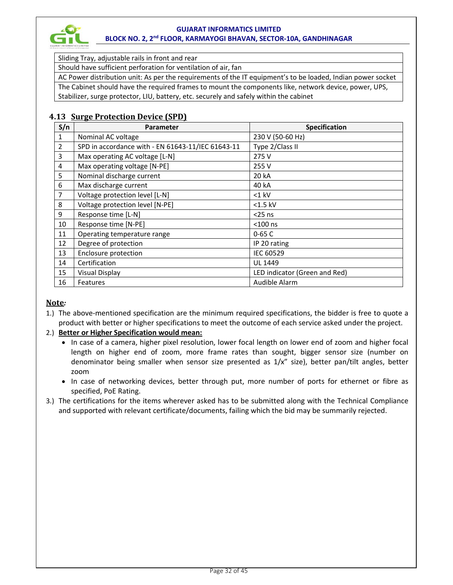

Sliding Tray, adjustable rails in front and rear

Should have sufficient perforation for ventilation of air, fan

AC Power distribution unit: As per the requirements of the IT equipment's to be loaded, Indian power socket

The Cabinet should have the required frames to mount the components like, network device, power, UPS,

Stabilizer, surge protector, LIU, battery, etc. securely and safely within the cabinet

# **4.13 Surge Protection Device (SPD)**

| S/n            | Parameter                                         | Specification                 |  |  |
|----------------|---------------------------------------------------|-------------------------------|--|--|
| $\mathbf 1$    | Nominal AC voltage                                | 230 V (50-60 Hz)              |  |  |
| $\overline{2}$ | SPD in accordance with - EN 61643-11/IEC 61643-11 | Type 2/Class II               |  |  |
| 3              | Max operating AC voltage [L-N]                    | 275 V                         |  |  |
| 4              | Max operating voltage [N-PE]                      | 255 V                         |  |  |
| 5              | Nominal discharge current                         | 20 kA                         |  |  |
| 6              | Max discharge current                             | 40 kA                         |  |  |
| 7              | Voltage protection level [L-N]                    | $<$ 1 $k$ V                   |  |  |
| 8              | Voltage protection level [N-PE]                   | $<$ 1.5 kV                    |  |  |
| 9              | Response time [L-N]                               | $<$ 25 ns                     |  |  |
| 10             | Response time [N-PE]                              | $<$ 100 ns                    |  |  |
| 11             | Operating temperature range                       | $0 - 65C$                     |  |  |
| 12             | Degree of protection                              | IP 20 rating                  |  |  |
| 13             | Enclosure protection                              | <b>IEC 60529</b>              |  |  |
| 14             | Certification                                     | <b>UL 1449</b>                |  |  |
| 15             | <b>Visual Display</b>                             | LED indicator (Green and Red) |  |  |
| 16             | Features                                          | Audible Alarm                 |  |  |

# **Note***:*

1.) The above-mentioned specification are the minimum required specifications, the bidder is free to quote a product with better or higher specifications to meet the outcome of each service asked under the project.

# 2.) **Better or Higher Specification would mean:**

- In case of a camera, higher pixel resolution, lower focal length on lower end of zoom and higher focal length on higher end of zoom, more frame rates than sought, bigger sensor size (number on denominator being smaller when sensor size presented as 1/x" size), better pan/tilt angles, better zoom
- In case of networking devices, better through put, more number of ports for ethernet or fibre as specified, PoE Rating.
- 3.) The certifications for the items wherever asked has to be submitted along with the Technical Compliance and supported with relevant certificate/documents, failing which the bid may be summarily rejected.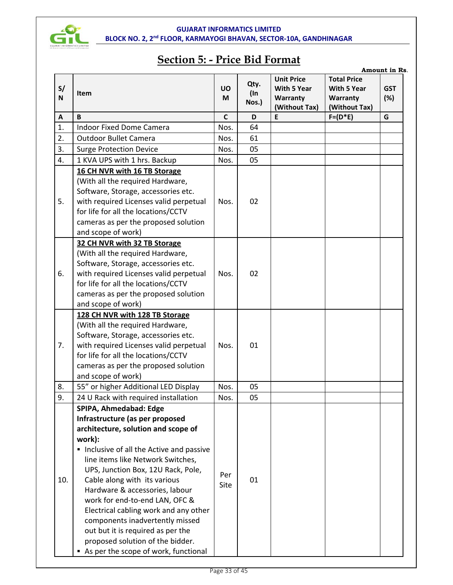

# **Section 5: - Price Bid Format**

|         |                                         |                |                         |                                                                      |                                                                       | Amount in Rs.     |
|---------|-----------------------------------------|----------------|-------------------------|----------------------------------------------------------------------|-----------------------------------------------------------------------|-------------------|
| S/<br>N | Item                                    | <b>UO</b><br>M | Qty.<br>$($ In<br>Nos.) | <b>Unit Price</b><br><b>With 5 Year</b><br>Warranty<br>(Without Tax) | <b>Total Price</b><br><b>With 5 Year</b><br>Warranty<br>(Without Tax) | <b>GST</b><br>(%) |
| A       | B                                       | $\mathsf{C}$   | D                       | E                                                                    | $F=(D*E)$                                                             | G                 |
| 1.      | <b>Indoor Fixed Dome Camera</b>         | Nos.           | 64                      |                                                                      |                                                                       |                   |
| 2.      | <b>Outdoor Bullet Camera</b>            | Nos.           | 61                      |                                                                      |                                                                       |                   |
| 3.      | <b>Surge Protection Device</b>          | Nos.           | 05                      |                                                                      |                                                                       |                   |
| 4.      | 1 KVA UPS with 1 hrs. Backup            | Nos.           | 05                      |                                                                      |                                                                       |                   |
|         | 16 CH NVR with 16 TB Storage            |                |                         |                                                                      |                                                                       |                   |
|         | (With all the required Hardware,        |                |                         |                                                                      |                                                                       |                   |
|         | Software, Storage, accessories etc.     |                |                         |                                                                      |                                                                       |                   |
| 5.      | with required Licenses valid perpetual  | Nos.           | 02                      |                                                                      |                                                                       |                   |
|         | for life for all the locations/CCTV     |                |                         |                                                                      |                                                                       |                   |
|         | cameras as per the proposed solution    |                |                         |                                                                      |                                                                       |                   |
|         | and scope of work)                      |                |                         |                                                                      |                                                                       |                   |
|         | 32 CH NVR with 32 TB Storage            |                |                         |                                                                      |                                                                       |                   |
|         | (With all the required Hardware,        |                |                         |                                                                      |                                                                       |                   |
|         | Software, Storage, accessories etc.     |                |                         |                                                                      |                                                                       |                   |
| 6.      | with required Licenses valid perpetual  |                | 02                      |                                                                      |                                                                       |                   |
|         | for life for all the locations/CCTV     |                |                         |                                                                      |                                                                       |                   |
|         | cameras as per the proposed solution    |                |                         |                                                                      |                                                                       |                   |
|         | and scope of work)                      |                |                         |                                                                      |                                                                       |                   |
|         | 128 CH NVR with 128 TB Storage          |                |                         |                                                                      |                                                                       |                   |
|         | (With all the required Hardware,        |                |                         |                                                                      |                                                                       |                   |
|         | Software, Storage, accessories etc.     |                |                         |                                                                      |                                                                       |                   |
| 7.      | with required Licenses valid perpetual  |                | 01                      |                                                                      |                                                                       |                   |
|         | for life for all the locations/CCTV     |                |                         |                                                                      |                                                                       |                   |
|         | cameras as per the proposed solution    |                |                         |                                                                      |                                                                       |                   |
|         | and scope of work)                      |                |                         |                                                                      |                                                                       |                   |
| 8.      | 55" or higher Additional LED Display    | Nos.           | 05                      |                                                                      |                                                                       |                   |
| 9.      | 24 U Rack with required installation    | Nos.           | 05                      |                                                                      |                                                                       |                   |
|         | SPIPA, Ahmedabad: Edge                  |                |                         |                                                                      |                                                                       |                   |
|         | Infrastructure (as per proposed         |                |                         |                                                                      |                                                                       |                   |
|         | architecture, solution and scope of     |                |                         |                                                                      |                                                                       |                   |
|         | work):                                  |                |                         |                                                                      |                                                                       |                   |
|         | Inclusive of all the Active and passive |                |                         |                                                                      |                                                                       |                   |
|         | line items like Network Switches,       |                |                         |                                                                      |                                                                       |                   |
|         | UPS, Junction Box, 12U Rack, Pole,      | Per            |                         |                                                                      |                                                                       |                   |
| 10.     | Cable along with its various            |                | 01                      |                                                                      |                                                                       |                   |
|         | Hardware & accessories, labour          |                |                         |                                                                      |                                                                       |                   |
|         | work for end-to-end LAN, OFC &          |                |                         |                                                                      |                                                                       |                   |
|         | Electrical cabling work and any other   |                |                         |                                                                      |                                                                       |                   |
|         | components inadvertently missed         |                |                         |                                                                      |                                                                       |                   |
|         | out but it is required as per the       |                |                         |                                                                      |                                                                       |                   |
|         | proposed solution of the bidder.        |                |                         |                                                                      |                                                                       |                   |
|         | As per the scope of work, functional    |                |                         |                                                                      |                                                                       |                   |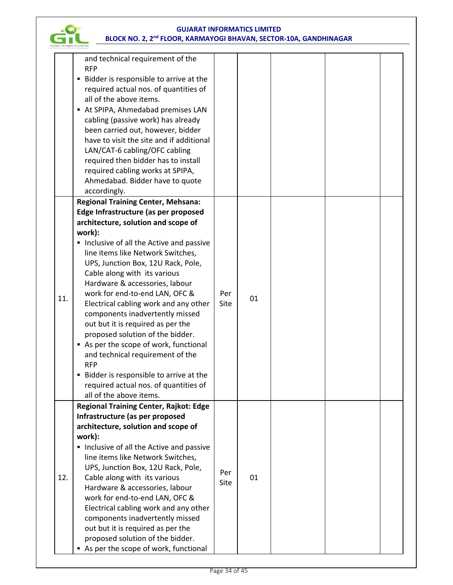

|     | and technical requirement of the<br><b>RFP</b><br>Bidder is responsible to arrive at the<br>required actual nos. of quantities of<br>all of the above items.<br>At SPIPA, Ahmedabad premises LAN<br>٠<br>cabling (passive work) has already<br>been carried out, however, bidder<br>have to visit the site and if additional<br>LAN/CAT-6 cabling/OFC cabling<br>required then bidder has to install<br>required cabling works at SPIPA,<br>Ahmedabad. Bidder have to quote |             |    |  |  |
|-----|-----------------------------------------------------------------------------------------------------------------------------------------------------------------------------------------------------------------------------------------------------------------------------------------------------------------------------------------------------------------------------------------------------------------------------------------------------------------------------|-------------|----|--|--|
|     | accordingly.                                                                                                                                                                                                                                                                                                                                                                                                                                                                |             |    |  |  |
|     | <b>Regional Training Center, Mehsana:</b>                                                                                                                                                                                                                                                                                                                                                                                                                                   |             |    |  |  |
|     | Edge Infrastructure (as per proposed<br>architecture, solution and scope of                                                                                                                                                                                                                                                                                                                                                                                                 |             |    |  |  |
|     | work):                                                                                                                                                                                                                                                                                                                                                                                                                                                                      |             |    |  |  |
|     | Inclusive of all the Active and passive                                                                                                                                                                                                                                                                                                                                                                                                                                     |             |    |  |  |
|     | line items like Network Switches,                                                                                                                                                                                                                                                                                                                                                                                                                                           |             |    |  |  |
|     | UPS, Junction Box, 12U Rack, Pole,                                                                                                                                                                                                                                                                                                                                                                                                                                          |             |    |  |  |
|     | Cable along with its various                                                                                                                                                                                                                                                                                                                                                                                                                                                |             |    |  |  |
|     | Hardware & accessories, labour                                                                                                                                                                                                                                                                                                                                                                                                                                              |             |    |  |  |
| 11. | work for end-to-end LAN, OFC &                                                                                                                                                                                                                                                                                                                                                                                                                                              | Per         | 01 |  |  |
|     | Electrical cabling work and any other                                                                                                                                                                                                                                                                                                                                                                                                                                       | Site        |    |  |  |
|     | components inadvertently missed<br>out but it is required as per the                                                                                                                                                                                                                                                                                                                                                                                                        |             |    |  |  |
|     | proposed solution of the bidder.                                                                                                                                                                                                                                                                                                                                                                                                                                            |             |    |  |  |
|     | As per the scope of work, functional<br>п                                                                                                                                                                                                                                                                                                                                                                                                                                   |             |    |  |  |
|     | and technical requirement of the                                                                                                                                                                                                                                                                                                                                                                                                                                            |             |    |  |  |
|     | <b>RFP</b>                                                                                                                                                                                                                                                                                                                                                                                                                                                                  |             |    |  |  |
|     | Bidder is responsible to arrive at the<br>٠                                                                                                                                                                                                                                                                                                                                                                                                                                 |             |    |  |  |
|     | required actual nos. of quantities of                                                                                                                                                                                                                                                                                                                                                                                                                                       |             |    |  |  |
|     | all of the above items.                                                                                                                                                                                                                                                                                                                                                                                                                                                     |             |    |  |  |
|     | <b>Regional Training Center, Rajkot: Edge</b>                                                                                                                                                                                                                                                                                                                                                                                                                               |             |    |  |  |
|     | Infrastructure (as per proposed                                                                                                                                                                                                                                                                                                                                                                                                                                             |             |    |  |  |
|     | architecture, solution and scope of                                                                                                                                                                                                                                                                                                                                                                                                                                         |             |    |  |  |
|     | work):                                                                                                                                                                                                                                                                                                                                                                                                                                                                      |             |    |  |  |
|     | Inclusive of all the Active and passive<br>line items like Network Switches,                                                                                                                                                                                                                                                                                                                                                                                                |             |    |  |  |
|     | UPS, Junction Box, 12U Rack, Pole,                                                                                                                                                                                                                                                                                                                                                                                                                                          |             |    |  |  |
| 12. | Cable along with its various                                                                                                                                                                                                                                                                                                                                                                                                                                                | Per<br>Site | 01 |  |  |
|     | Hardware & accessories, labour<br>work for end-to-end LAN, OFC &                                                                                                                                                                                                                                                                                                                                                                                                            |             |    |  |  |
|     |                                                                                                                                                                                                                                                                                                                                                                                                                                                                             |             |    |  |  |
|     | Electrical cabling work and any other                                                                                                                                                                                                                                                                                                                                                                                                                                       |             |    |  |  |
|     | components inadvertently missed                                                                                                                                                                                                                                                                                                                                                                                                                                             |             |    |  |  |
|     | out but it is required as per the                                                                                                                                                                                                                                                                                                                                                                                                                                           |             |    |  |  |
|     | proposed solution of the bidder.                                                                                                                                                                                                                                                                                                                                                                                                                                            |             |    |  |  |
|     | As per the scope of work, functional                                                                                                                                                                                                                                                                                                                                                                                                                                        |             |    |  |  |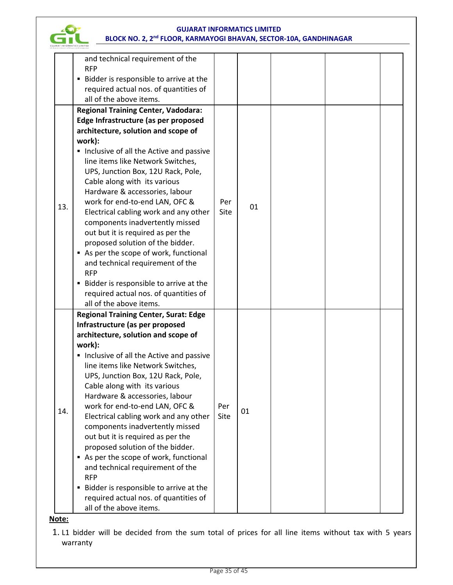

**Note:**

1. L1 bidder will be decided from the sum total of prices for all line items without tax with 5 years warranty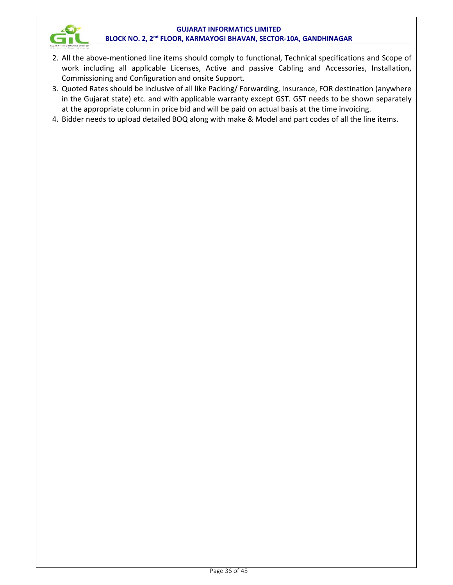

- 2. All the above-mentioned line items should comply to functional, Technical specifications and Scope of work including all applicable Licenses, Active and passive Cabling and Accessories, Installation, Commissioning and Configuration and onsite Support.
- 3. Quoted Rates should be inclusive of all like Packing/ Forwarding, Insurance, FOR destination (anywhere in the Gujarat state) etc. and with applicable warranty except GST. GST needs to be shown separately at the appropriate column in price bid and will be paid on actual basis at the time invoicing.
- 4. Bidder needs to upload detailed BOQ along with make & Model and part codes of all the line items.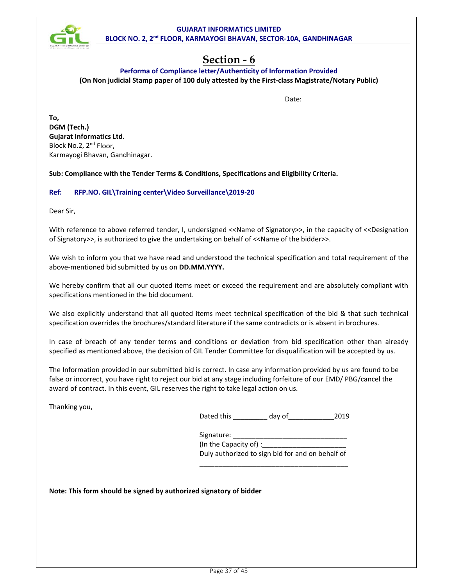

# **Section - 6**

# **Performa of Compliance letter/Authenticity of Information Provided (On Non judicial Stamp paper of 100 duly attested by the First-class Magistrate/Notary Public)**

discussion of the contract of the contract of the Date:

**To, DGM (Tech.) Gujarat Informatics Ltd.**  Block No.2, 2<sup>nd</sup> Floor, Karmayogi Bhavan, Gandhinagar.

**Sub: Compliance with the Tender Terms & Conditions, Specifications and Eligibility Criteria.** 

# **Ref: RFP.NO. GIL\Training center\Video Surveillance\2019-20**

Dear Sir,

With reference to above referred tender, I, undersigned <<Name of Signatory>>, in the capacity of <<Designation of Signatory>>, is authorized to give the undertaking on behalf of <<Name of the bidder>>.

We wish to inform you that we have read and understood the technical specification and total requirement of the above-mentioned bid submitted by us on **DD.MM.YYYY.**

We hereby confirm that all our quoted items meet or exceed the requirement and are absolutely compliant with specifications mentioned in the bid document.

We also explicitly understand that all quoted items meet technical specification of the bid & that such technical specification overrides the brochures/standard literature if the same contradicts or is absent in brochures.

In case of breach of any tender terms and conditions or deviation from bid specification other than already specified as mentioned above, the decision of GIL Tender Committee for disqualification will be accepted by us.

The Information provided in our submitted bid is correct. In case any information provided by us are found to be false or incorrect, you have right to reject our bid at any stage including forfeiture of our EMD/ PBG/cancel the award of contract. In this event, GIL reserves the right to take legal action on us.

 $\_$ 

Thanking you,

| Dated this | day of | 2019 |
|------------|--------|------|
|            |        |      |

Signature: \_ (In the Capacity of) : Duly authorized to sign bid for and on behalf of

**Note: This form should be signed by authorized signatory of bidder**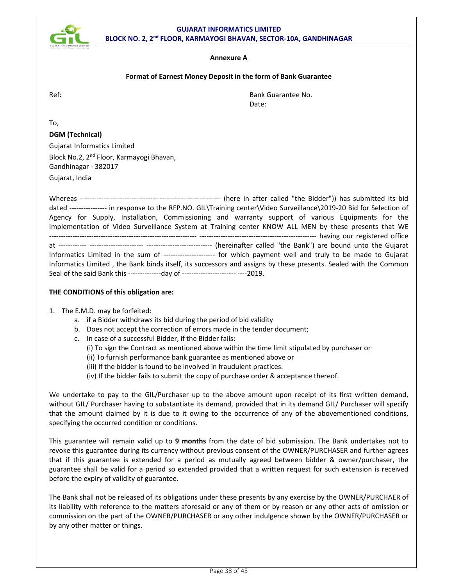

#### **Format of Earnest Money Deposit in the form of Bank Guarantee**

Ref: Bank Guarantee No. de de la contradición de la contradición de la contradición de la contradición de la contradición de la contra

To,

#### **DGM (Technical)**

Gujarat Informatics Limited Block No.2, 2<sup>nd</sup> Floor, Karmayogi Bhavan, Gandhinagar - 382017

Gujarat, India

Whereas ------------------------------------------------------------ (here in after called "the Bidder")) has submitted its bid dated ---------------- in response to the RFP.NO. GIL\Training center\Video Surveillance\2019-20 Bid for Selection of Agency for Supply, Installation, Commissioning and warranty support of various Equipments for the Implementation of Video Surveillance System at Training center KNOW ALL MEN by these presents that WE --------------------------------------------------------------- -------------------------------------------------- having our registered office at ------------ ----------------------- ---------------------------- (hereinafter called "the Bank") are bound unto the Gujarat Informatics Limited in the sum of ---------------------- for which payment well and truly to be made to Gujarat Informatics Limited , the Bank binds itself, its successors and assigns by these presents. Sealed with the Common Seal of the said Bank this --------------day of ----------------------- ----2019.

#### **THE CONDITIONS of this obligation are:**

- 1. The E.M.D. may be forfeited:
	- a. if a Bidder withdraws its bid during the period of bid validity
	- b. Does not accept the correction of errors made in the tender document;
	- c. In case of a successful Bidder, if the Bidder fails:
		- (i) To sign the Contract as mentioned above within the time limit stipulated by purchaser or
		- (ii) To furnish performance bank guarantee as mentioned above or
		- (iii) If the bidder is found to be involved in fraudulent practices.
		- (iv) If the bidder fails to submit the copy of purchase order & acceptance thereof.

We undertake to pay to the GIL/Purchaser up to the above amount upon receipt of its first written demand, without GIL/ Purchaser having to substantiate its demand, provided that in its demand GIL/ Purchaser will specify that the amount claimed by it is due to it owing to the occurrence of any of the abovementioned conditions, specifying the occurred condition or conditions.

This guarantee will remain valid up to **9 months** from the date of bid submission. The Bank undertakes not to revoke this guarantee during its currency without previous consent of the OWNER/PURCHASER and further agrees that if this guarantee is extended for a period as mutually agreed between bidder & owner/purchaser, the guarantee shall be valid for a period so extended provided that a written request for such extension is received before the expiry of validity of guarantee.

The Bank shall not be released of its obligations under these presents by any exercise by the OWNER/PURCHAER of its liability with reference to the matters aforesaid or any of them or by reason or any other acts of omission or commission on the part of the OWNER/PURCHASER or any other indulgence shown by the OWNER/PURCHASER or by any other matter or things.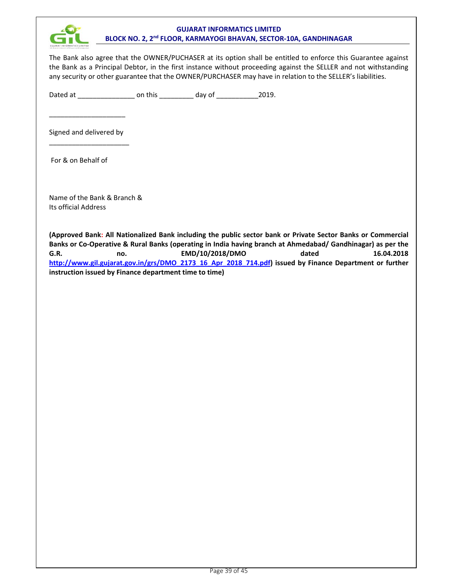

The Bank also agree that the OWNER/PUCHASER at its option shall be entitled to enforce this Guarantee against the Bank as a Principal Debtor, in the first instance without proceeding against the SELLER and not withstanding any security or other guarantee that the OWNER/PURCHASER may have in relation to the SELLER's liabilities.

Dated at \_\_\_\_\_\_\_\_\_\_\_\_\_\_\_\_\_\_\_\_\_\_\_ on this \_\_\_\_\_\_\_\_\_\_\_\_\_ day of \_\_\_\_\_\_\_\_\_\_\_\_\_\_\_\_2019.

Signed and delivered by \_\_\_\_\_\_\_\_\_\_\_\_\_\_\_\_\_\_\_\_\_

\_\_\_\_\_\_\_\_\_\_\_\_\_\_\_\_\_\_\_\_

For & on Behalf of

Name of the Bank & Branch & Its official Address

**(Approved Bank: All Nationalized Bank including the public sector bank or Private Sector Banks or Commercial Banks or Co-Operative & Rural Banks (operating in India having branch at Ahmedabad/ Gandhinagar) as per the G.R. no. EMD/10/2018/DMO dated 16.04.2018 http://www.gil.gujarat.gov.in/grs/DMO\_2173\_16\_Apr\_2018\_714.pdf) issued by Finance Department or further instruction issued by Finance department time to time)**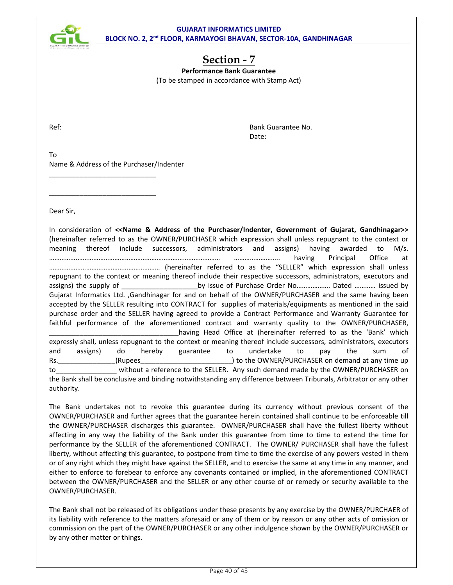

# **Section - 7**

**Performance Bank Guarantee**  (To be stamped in accordance with Stamp Act)

Ref: Bank Guarantee No. des and the contract of the contract of the Date:

To Name & Address of the Purchaser/Indenter

\_\_\_\_\_\_\_\_\_\_\_\_\_\_\_\_\_\_\_\_\_\_\_\_\_\_\_\_

\_\_\_\_\_\_\_\_\_\_\_\_\_\_\_\_\_\_\_\_\_\_\_\_\_\_\_\_

Dear Sir,

In consideration of **<<Name & Address of the Purchaser/Indenter, Government of Gujarat, Gandhinagar>>** (hereinafter referred to as the OWNER/PURCHASER which expression shall unless repugnant to the context or meaning thereof include successors, administrators and assigns) having awarded to M/s. …………….……………………………………………………………………… …………………….. having Principal Office at ……………………………………………………… (hereinafter referred to as the "SELLER" which expression shall unless repugnant to the context or meaning thereof include their respective successors, administrators, executors and assigns) the supply of The Supply of Transform Supply issue of Purchase Order No…………………… Dated ………… issued by Gujarat Informatics Ltd. ,Gandhinagar for and on behalf of the OWNER/PURCHASER and the same having been accepted by the SELLER resulting into CONTRACT for supplies of materials/equipments as mentioned in the said purchase order and the SELLER having agreed to provide a Contract Performance and Warranty Guarantee for faithful performance of the aforementioned contract and warranty quality to the OWNER/PURCHASER, having Head Office at (hereinafter referred to as the 'Bank' which expressly shall, unless repugnant to the context or meaning thereof include successors, administrators, executors and assigns) do hereby guarantee to undertake to pay the sum of Rs. The community of the OWNER/PURCHASER on demand at any time up to\_\_\_\_\_\_\_\_\_\_\_\_\_\_\_\_ without a reference to the SELLER. Any such demand made by the OWNER/PURCHASER on the Bank shall be conclusive and binding notwithstanding any difference between Tribunals, Arbitrator or any other authority.

The Bank undertakes not to revoke this guarantee during its currency without previous consent of the OWNER/PURCHASER and further agrees that the guarantee herein contained shall continue to be enforceable till the OWNER/PURCHASER discharges this guarantee. OWNER/PURCHASER shall have the fullest liberty without affecting in any way the liability of the Bank under this guarantee from time to time to extend the time for performance by the SELLER of the aforementioned CONTRACT. The OWNER/ PURCHASER shall have the fullest liberty, without affecting this guarantee, to postpone from time to time the exercise of any powers vested in them or of any right which they might have against the SELLER, and to exercise the same at any time in any manner, and either to enforce to forebear to enforce any covenants contained or implied, in the aforementioned CONTRACT between the OWNER/PURCHASER and the SELLER or any other course of or remedy or security available to the OWNER/PURCHASER.

The Bank shall not be released of its obligations under these presents by any exercise by the OWNER/PURCHAER of its liability with reference to the matters aforesaid or any of them or by reason or any other acts of omission or commission on the part of the OWNER/PURCHASER or any other indulgence shown by the OWNER/PURCHASER or by any other matter or things.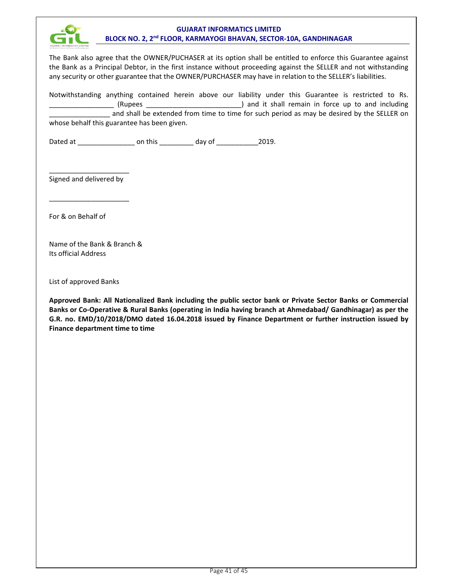

The Bank also agree that the OWNER/PUCHASER at its option shall be entitled to enforce this Guarantee against the Bank as a Principal Debtor, in the first instance without proceeding against the SELLER and not withstanding any security or other guarantee that the OWNER/PURCHASER may have in relation to the SELLER's liabilities.

Notwithstanding anything contained herein above our liability under this Guarantee is restricted to Rs. \_\_\_\_\_\_\_\_\_\_\_\_\_\_\_\_\_ (Rupees \_\_\_\_\_\_\_\_\_\_\_\_\_\_\_\_\_\_\_\_\_\_\_\_\_) and it shall remain in force up to and including and shall be extended from time to time for such period as may be desired by the SELLER on whose behalf this guarantee has been given.

Dated at \_\_\_\_\_\_\_\_\_\_\_\_\_\_\_\_\_\_\_\_\_\_\_\_\_ on this \_\_\_\_\_\_\_\_\_\_\_\_\_ day of \_\_\_\_\_\_\_\_\_\_\_\_\_\_\_2019.

\_\_\_\_\_\_\_\_\_\_\_\_\_\_\_\_\_\_\_\_\_ Signed and delivered by

\_\_\_\_\_\_\_\_\_\_\_\_\_\_\_\_\_\_\_\_\_

For & on Behalf of

Name of the Bank & Branch & Its official Address

List of approved Banks

**Approved Bank: All Nationalized Bank including the public sector bank or Private Sector Banks or Commercial Banks or Co-Operative & Rural Banks (operating in India having branch at Ahmedabad/ Gandhinagar) as per the G.R. no. EMD/10/2018/DMO dated 16.04.2018 issued by Finance Department or further instruction issued by Finance department time to time**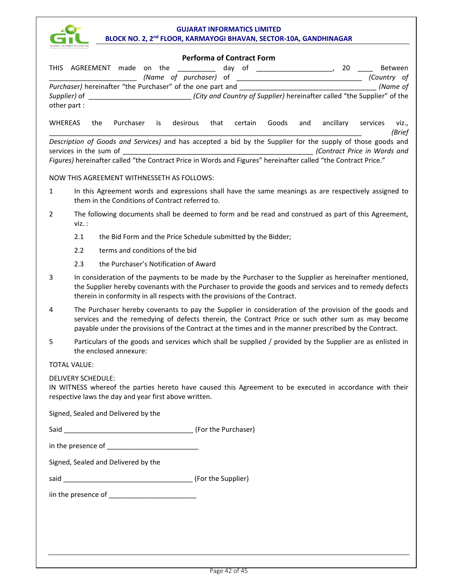

| <b>GUJARAT INFORMATICS LIMITED</b> |                                                                                                                                                                                                                                                                                                                       |
|------------------------------------|-----------------------------------------------------------------------------------------------------------------------------------------------------------------------------------------------------------------------------------------------------------------------------------------------------------------------|
|                                    | <b>Performa of Contract Form</b><br>THIS AGREEMENT made on the<br>day of                                                                                                                                                                                                                                              |
|                                    | Between<br>(Name of purchaser) of<br>(Country of                                                                                                                                                                                                                                                                      |
|                                    | Purchaser) hereinafter "the Purchaser" of the one part and ______________________<br>(Name of                                                                                                                                                                                                                         |
|                                    |                                                                                                                                                                                                                                                                                                                       |
| other part:                        |                                                                                                                                                                                                                                                                                                                       |
| <b>WHEREAS</b>                     | Purchaser<br>desirous<br>certain<br>Goods<br>ancillary<br>the<br>is<br>that<br>and<br>services<br>Viz.,<br>(Brief                                                                                                                                                                                                     |
|                                    | Description of Goods and Services) and has accepted a bid by the Supplier for the supply of those goods and                                                                                                                                                                                                           |
|                                    | Contract Price in Words and<br>Figures) hereinafter called "the Contract Price in Words and Figures" hereinafter called "the Contract Price."                                                                                                                                                                         |
|                                    | NOW THIS AGREEMENT WITHNESSETH AS FOLLOWS:                                                                                                                                                                                                                                                                            |
| $\mathbf{1}$                       | In this Agreement words and expressions shall have the same meanings as are respectively assigned to                                                                                                                                                                                                                  |
|                                    | them in the Conditions of Contract referred to.                                                                                                                                                                                                                                                                       |
| $\overline{2}$                     | The following documents shall be deemed to form and be read and construed as part of this Agreement,<br>viz. :                                                                                                                                                                                                        |
|                                    | 2.1<br>the Bid Form and the Price Schedule submitted by the Bidder;                                                                                                                                                                                                                                                   |
|                                    | terms and conditions of the bid<br>2.2                                                                                                                                                                                                                                                                                |
|                                    | the Purchaser's Notification of Award<br>2.3                                                                                                                                                                                                                                                                          |
| 3                                  | In consideration of the payments to be made by the Purchaser to the Supplier as hereinafter mentioned,<br>the Supplier hereby covenants with the Purchaser to provide the goods and services and to remedy defects<br>therein in conformity in all respects with the provisions of the Contract.                      |
| 4                                  | The Purchaser hereby covenants to pay the Supplier in consideration of the provision of the goods and<br>services and the remedying of defects therein, the Contract Price or such other sum as may become<br>payable under the provisions of the Contract at the times and in the manner prescribed by the Contract. |
| 5                                  | Particulars of the goods and services which shall be supplied / provided by the Supplier are as enlisted in<br>the enclosed annexure:                                                                                                                                                                                 |
| <b>TOTAL VALUE:</b>                |                                                                                                                                                                                                                                                                                                                       |
|                                    | <b>DELIVERY SCHEDULE:</b><br>IN WITNESS whereof the parties hereto have caused this Agreement to be executed in accordance with their<br>respective laws the day and year first above written.                                                                                                                        |
|                                    | Signed, Sealed and Delivered by the                                                                                                                                                                                                                                                                                   |
|                                    |                                                                                                                                                                                                                                                                                                                       |
|                                    |                                                                                                                                                                                                                                                                                                                       |
|                                    | Signed, Sealed and Delivered by the                                                                                                                                                                                                                                                                                   |
|                                    |                                                                                                                                                                                                                                                                                                                       |
|                                    |                                                                                                                                                                                                                                                                                                                       |
|                                    |                                                                                                                                                                                                                                                                                                                       |
|                                    |                                                                                                                                                                                                                                                                                                                       |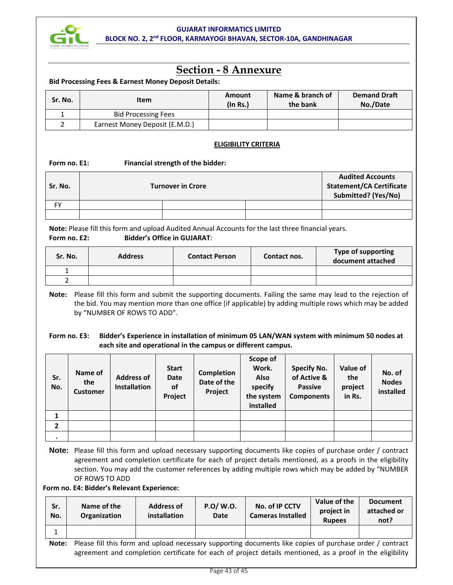

# **Section - 8 Annexure**

#### **Bid Processing Fees & Earnest Money Deposit Details:**

| Sr. No. | Item                           | Amount<br>$($ ln Rs. $)$ | Name & branch of<br>the bank | <b>Demand Draft</b><br>No./Date |
|---------|--------------------------------|--------------------------|------------------------------|---------------------------------|
|         | <b>Bid Processing Fees</b>     |                          |                              |                                 |
|         | Earnest Money Deposit (E.M.D.) |                          |                              |                                 |

# **ELIGIBILITY CRITERIA**

#### Form no. E1: Financial strength of the bidder:

| Sr. No.   | <b>Turnover in Crore</b> | <b>Audited Accounts</b><br><b>Statement/CA Certificate</b><br>Submitted? (Yes/No) |  |
|-----------|--------------------------|-----------------------------------------------------------------------------------|--|
| <b>FY</b> |                          |                                                                                   |  |
|           |                          |                                                                                   |  |

**Note:** Please fill this form and upload Audited Annual Accounts for the last three financial years. **Form no. E2: Bidder's Office in GUJARAT**:

| Sr. No. | <b>Address</b> | <b>Contact Person</b> | Contact nos. | <b>Type of supporting</b><br>document attached |
|---------|----------------|-----------------------|--------------|------------------------------------------------|
| -       |                |                       |              |                                                |
|         |                |                       |              |                                                |

**Note:** Please fill this form and submit the supporting documents. Failing the same may lead to the rejection of the bid. You may mention more than one office (if applicable) by adding multiple rows which may be added by "NUMBER OF ROWS TO ADD".

#### **Form no. E3: Bidder's Experience in installation of minimum 05 LAN/WAN system with minimum 50 nodes at each site and operational in the campus or different campus.**

| Sr.<br>No.     | Name of<br>the<br><b>Customer</b> | <b>Address of</b><br><b>Installation</b> | <b>Start</b><br><b>Date</b><br>οf<br>Project | <b>Completion</b><br>Date of the<br>Project | Scope of<br>Work.<br>Also<br>specify<br>the system<br>installed | <b>Specify No.</b><br>of Active &<br><b>Passive</b><br><b>Components</b> | Value of<br>the<br>project<br>in Rs. | No. of<br><b>Nodes</b><br>installed |
|----------------|-----------------------------------|------------------------------------------|----------------------------------------------|---------------------------------------------|-----------------------------------------------------------------|--------------------------------------------------------------------------|--------------------------------------|-------------------------------------|
|                |                                   |                                          |                                              |                                             |                                                                 |                                                                          |                                      |                                     |
| $\overline{2}$ |                                   |                                          |                                              |                                             |                                                                 |                                                                          |                                      |                                     |
|                |                                   |                                          |                                              |                                             |                                                                 |                                                                          |                                      |                                     |

**Note:** Please fill this form and upload necessary supporting documents like copies of purchase order / contract agreement and completion certificate for each of project details mentioned, as a proofs in the eligibility section. You may add the customer references by adding multiple rows which may be added by "NUMBER OF ROWS TO ADD

**Form no. E4: Bidder's Relevant Experience:** 

| Sr.<br>No. | Name of the<br>Organization                                                                                                                                                                                           | <b>Address of</b><br>installation | P.O/ W.O.<br><b>Date</b> | No. of IP CCTV<br><b>Cameras Installed</b> | Value of the<br>project in<br><b>Rupees</b> | <b>Document</b><br>attached or<br>not? |  |  |
|------------|-----------------------------------------------------------------------------------------------------------------------------------------------------------------------------------------------------------------------|-----------------------------------|--------------------------|--------------------------------------------|---------------------------------------------|----------------------------------------|--|--|
| 1          |                                                                                                                                                                                                                       |                                   |                          |                                            |                                             |                                        |  |  |
| Note:      | Please fill this form and upload necessary supporting documents like copies of purchase order / contract<br>agreement and completion certificate for each of project details mentioned, as a proof in the eligibility |                                   |                          |                                            |                                             |                                        |  |  |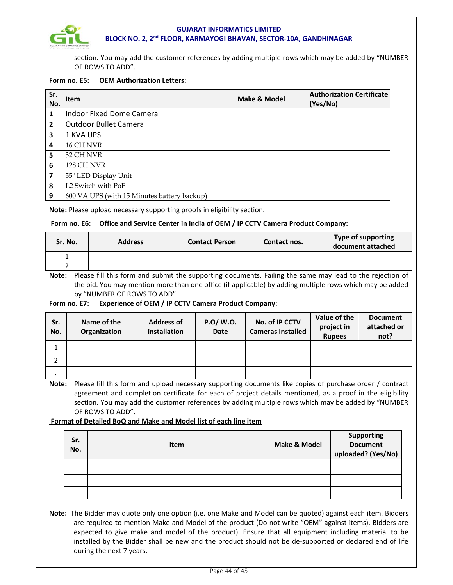

section. You may add the customer references by adding multiple rows which may be added by "NUMBER OF ROWS TO ADD".

#### **Form no. E5: OEM Authorization Letters:**

| Sr.<br>No.     | <b>Item</b>                                 | <b>Make &amp; Model</b> | <b>Authorization Certificate</b><br>(Yes/No) |
|----------------|---------------------------------------------|-------------------------|----------------------------------------------|
| 1              | Indoor Fixed Dome Camera                    |                         |                                              |
| $\overline{2}$ | <b>Outdoor Bullet Camera</b>                |                         |                                              |
| 3              | 1 KVA UPS                                   |                         |                                              |
| 4              | 16 CH NVR                                   |                         |                                              |
| 5              | 32 CH NVR                                   |                         |                                              |
| 6              | 128 CH NVR                                  |                         |                                              |
| 7              | 55" LED Display Unit                        |                         |                                              |
| 8              | L2 Switch with PoE                          |                         |                                              |
| 9              | 600 VA UPS (with 15 Minutes battery backup) |                         |                                              |

**Note:** Please upload necessary supporting proofs in eligibility section.

#### **Form no. E6: Office and Service Center in India of OEM / IP CCTV Camera Product Company:**

| Sr. No. | <b>Address</b> | <b>Contact Person</b> | Contact nos. | <b>Type of supporting</b><br>document attached |
|---------|----------------|-----------------------|--------------|------------------------------------------------|
|         |                |                       |              |                                                |
|         |                |                       |              |                                                |

**Note:** Please fill this form and submit the supporting documents. Failing the same may lead to the rejection of the bid. You may mention more than one office (if applicable) by adding multiple rows which may be added by "NUMBER OF ROWS TO ADD".

#### **Form no. E7: Experience of OEM / IP CCTV Camera Product Company:**

| Sr.<br>No. | Name of the<br>Organization | <b>Address of</b><br>installation | P.O/W.O.<br><b>Date</b> | No. of IP CCTV<br><b>Cameras Installed</b> | Value of the<br>project in<br><b>Rupees</b> | <b>Document</b><br>attached or<br>not? |
|------------|-----------------------------|-----------------------------------|-------------------------|--------------------------------------------|---------------------------------------------|----------------------------------------|
| 1          |                             |                                   |                         |                                            |                                             |                                        |
|            |                             |                                   |                         |                                            |                                             |                                        |
| $\cdot$    |                             |                                   |                         |                                            |                                             |                                        |

**Note:** Please fill this form and upload necessary supporting documents like copies of purchase order / contract agreement and completion certificate for each of project details mentioned, as a proof in the eligibility section. You may add the customer references by adding multiple rows which may be added by "NUMBER OF ROWS TO ADD".

#### **Format of Detailed BoQ and Make and Model list of each line item**

| Sr.<br>No. | Item | Make & Model | Supporting<br>Document<br>uploaded? (Yes/No) |
|------------|------|--------------|----------------------------------------------|
|            |      |              |                                              |
|            |      |              |                                              |
|            |      |              |                                              |

**Note:** The Bidder may quote only one option (i.e. one Make and Model can be quoted) against each item. Bidders are required to mention Make and Model of the product (Do not write "OEM" against items). Bidders are expected to give make and model of the product). Ensure that all equipment including material to be installed by the Bidder shall be new and the product should not be de-supported or declared end of life during the next 7 years.